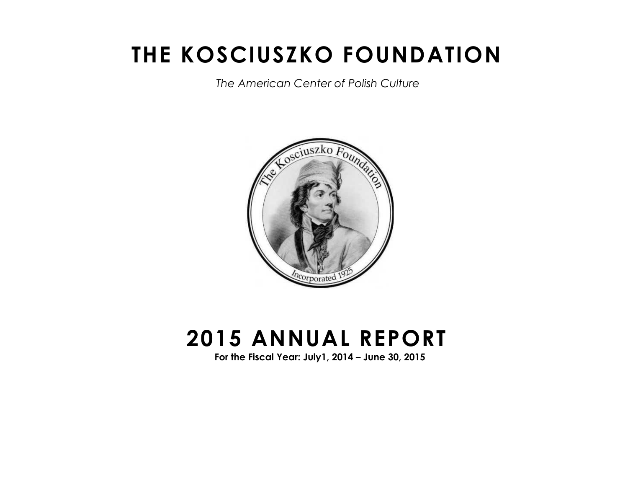# **THE KOSCIUSZKO FOUNDATION**

 *The American Center of Polish Culture*



# **2015 ANNUAL REPORT**

**For the Fiscal Year: July1, 2014 – June 30, 2015**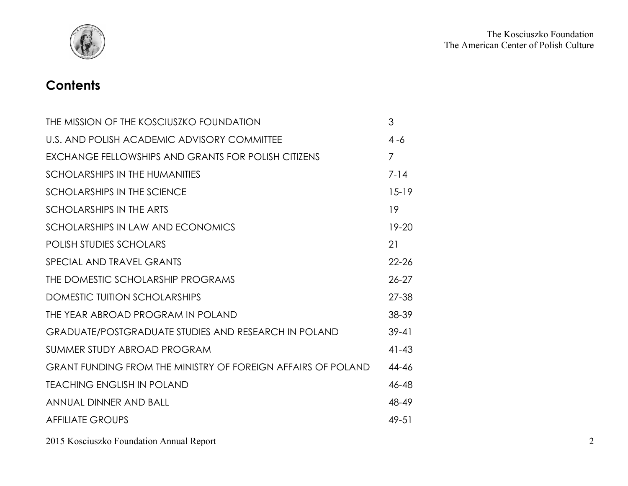

# **Contents**

| THE MISSION OF THE KOSCIUSZKO FOUNDATION                     | 3              |
|--------------------------------------------------------------|----------------|
| U.S. AND POLISH ACADEMIC ADVISORY COMMITTEE                  | 4 -6           |
| EXCHANGE FELLOWSHIPS AND GRANTS FOR POLISH CITIZENS          | $\overline{7}$ |
| <b>SCHOLARSHIPS IN THE HUMANITIES</b>                        | $7 - 14$       |
| SCHOLARSHIPS IN THE SCIENCE                                  | $15-19$        |
| SCHOLARSHIPS IN THE ARTS                                     | 19             |
| SCHOLARSHIPS IN LAW AND ECONOMICS                            | $19 - 20$      |
| <b>POLISH STUDIES SCHOLARS</b>                               | 21             |
| SPECIAL AND TRAVEL GRANTS                                    | $22 - 26$      |
| THE DOMESTIC SCHOLARSHIP PROGRAMS                            | $26 - 27$      |
| DOMESTIC TUITION SCHOLARSHIPS                                | $27 - 38$      |
| THE YEAR ABROAD PROGRAM IN POLAND                            | 38-39          |
| <b>GRADUATE/POSTGRADUATE STUDIES AND RESEARCH IN POLAND</b>  | $39 - 41$      |
| SUMMER STUDY ABROAD PROGRAM                                  | $41 - 43$      |
| GRANT FUNDING FROM THE MINISTRY OF FOREIGN AFFAIRS OF POLAND | 44-46          |
| <b>TEACHING ENGLISH IN POLAND</b>                            | 46-48          |
| ANNUAL DINNER AND BALL                                       | 48-49          |
| <b>AFFILIATE GROUPS</b>                                      | $49 - 51$      |

2015 Kosciuszko Foundation Annual Report 2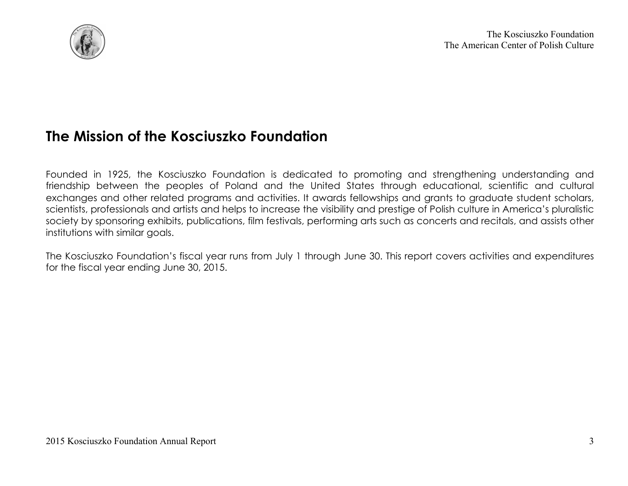

# **The Mission of the Kosciuszko Foundation**

Founded in 1925, the Kosciuszko Foundation is dedicated to promoting and strengthening understanding and friendship between the peoples of Poland and the United States through educational, scientific and cultural exchanges and other related programs and activities. It awards fellowships and grants to graduate student scholars, scientists, professionals and artists and helps to increase the visibility and prestige of Polish culture in America's pluralistic society by sponsoring exhibits, publications, film festivals, performing arts such as concerts and recitals, and assists other institutions with similar goals.

The Kosciuszko Foundation's fiscal year runs from July 1 through June 30. This report covers activities and expenditures for the fiscal year ending June 30, 2015.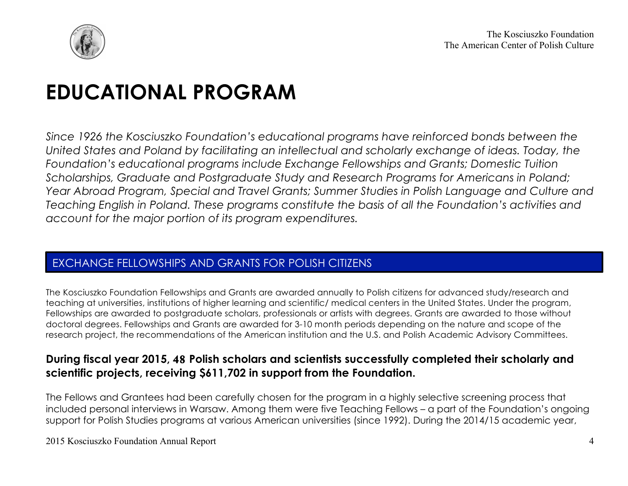

# **EDUCATIONAL PROGRAM**

*Since 1926 the Kosciuszko Foundation's educational programs have reinforced bonds between the United States and Poland by facilitating an intellectual and scholarly exchange of ideas. Today, the Foundation's educational programs include Exchange Fellowships and Grants; Domestic Tuition Scholarships, Graduate and Postgraduate Study and Research Programs for Americans in Poland; Year Abroad Program, Special and Travel Grants; Summer Studies in Polish Language and Culture and Teaching English in Poland. These programs constitute the basis of all the Foundation's activities and account for the major portion of its program expenditures.* 

## EXCHANGE FELLOWSHIPS AND GRANTS FOR POLISH CITIZENS

The Kosciuszko Foundation Fellowships and Grants are awarded annually to Polish citizens for advanced study/research and teaching at universities, institutions of higher learning and scientific/ medical centers in the United States. Under the program, Fellowships are awarded to postgraduate scholars, professionals or artists with degrees. Grants are awarded to those without doctoral degrees. Fellowships and Grants are awarded for 3-10 month periods depending on the nature and scope of the research project, the recommendations of the American institution and the U.S. and Polish Academic Advisory Committees.

## **During fiscal year 2015, 48 Polish scholars and scientists successfully completed their scholarly and scientific projects, receiving \$611,702 in support from the Foundation.**

The Fellows and Grantees had been carefully chosen for the program in a highly selective screening process that included personal interviews in Warsaw. Among them were five Teaching Fellows – a part of the Foundation's ongoing support for Polish Studies programs at various American universities (since 1992). During the 2014/15 academic year,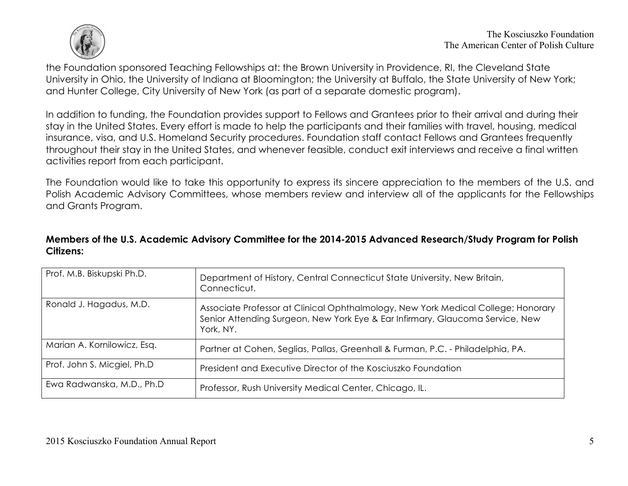

the Foundation sponsored Teaching Fellowships at: the Brown University in Providence, RI, the Cleveland State University in Ohio, the University of Indiana at Bloomington; the University at Buffalo, the State University of New York; and Hunter College, City University of New York (as part of a separate domestic program).

In addition to funding, the Foundation provides support to Fellows and Grantees prior to their arrival and during their stay in the United States. Every effort is made to help the participants and their families with travel, housing, medical insurance, visa, and U.S. Homeland Security procedures. Foundation staff contact Fellows and Grantees frequently throughout their stay in the United States, and whenever feasible, conduct exit interviews and receive a final written activities report from each participant.

The Foundation would like to take this opportunity to express its sincere appreciation to the members of the U.S. and Polish Academic Advisory Committees, whose members review and interview all of the applicants for the Fellowships and Grants Program.

#### **Members of the U.S. Academic Advisory Committee for the 2014-2015 Advanced Research/Study Program for Polish Citizens:**

| Prof. M.B. Biskupski Ph.D.  | Department of History, Central Connecticut State University, New Britain,<br>Connecticut.                                                                                       |
|-----------------------------|---------------------------------------------------------------------------------------------------------------------------------------------------------------------------------|
| Ronald J. Hagadus, M.D.     | Associate Professor at Clinical Ophthalmology, New York Medical College; Honorary<br>Senior Attending Surgeon, New York Eye & Ear Infirmary, Glaucoma Service, New<br>York, NY. |
| Marian A. Kornilowicz, Esq. | Partner at Cohen, Seglias, Pallas, Greenhall & Furman, P.C. - Philadelphia, PA.                                                                                                 |
| Prof. John S. Micgiel, Ph.D | President and Executive Director of the Kosciuszko Foundation                                                                                                                   |
| Ewa Radwanska, M.D., Ph.D.  | Professor, Rush University Medical Center, Chicago, IL.                                                                                                                         |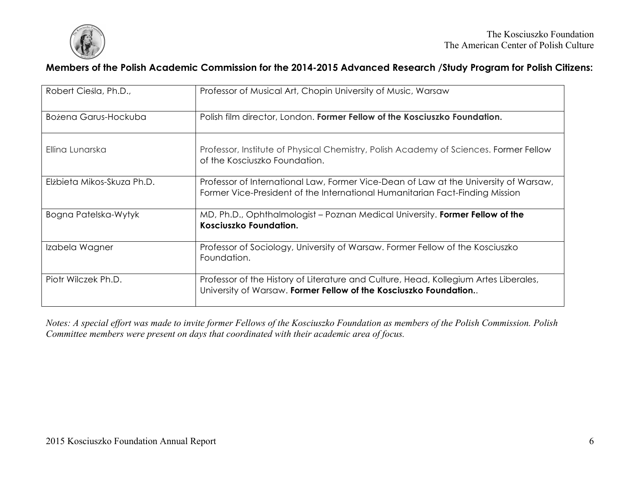

#### **Members of the Polish Academic Commission for the 2014-2015 Advanced Research /Study Program for Polish Citizens:**

| Robert Ciesla, Ph.D.,      | Professor of Musical Art, Chopin University of Music, Warsaw                                                                                                         |
|----------------------------|----------------------------------------------------------------------------------------------------------------------------------------------------------------------|
| Bożena Garus-Hockuba       | Polish film director, London. Former Fellow of the Kosciuszko Foundation.                                                                                            |
| Ellina Lunarska            | Professor, Institute of Physical Chemistry, Polish Academy of Sciences. Former Fellow<br>of the Kosciuszko Foundation.                                               |
| Elżbieta Mikos-Skuza Ph.D. | Professor of International Law, Former Vice-Dean of Law at the University of Warsaw,<br>Former Vice-President of the International Humanitarian Fact-Finding Mission |
| Bogna Patelska-Wytyk       | MD, Ph.D., Ophthalmologist – Poznan Medical University. Former Fellow of the<br>Kosciuszko Foundation.                                                               |
| Izabela Wagner             | Professor of Sociology, University of Warsaw. Former Fellow of the Kosciuszko<br>Foundation.                                                                         |
| Piotr Wilczek Ph.D.        | Professor of the History of Literature and Culture, Head, Kollegium Artes Liberales,<br>University of Warsaw. Former Fellow of the Kosciuszko Foundation             |

*Notes: A special effort was made to invite former Fellows of the Kosciuszko Foundation as members of the Polish Commission. Polish Committee members were present on days that coordinated with their academic area of focus.*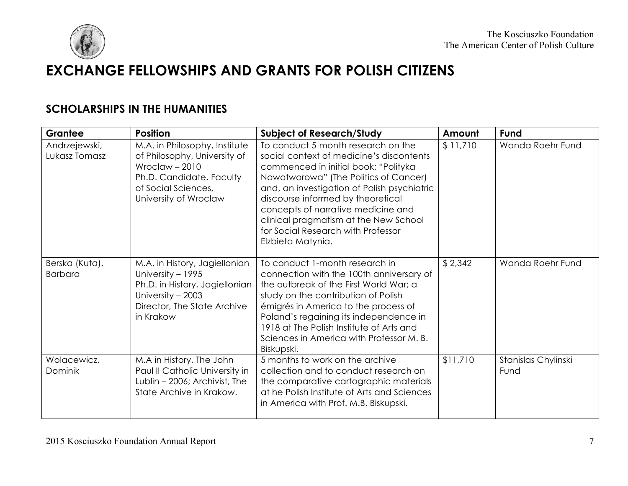

# **EXCHANGE FELLOWSHIPS AND GRANTS FOR POLISH CITIZENS**

## **SCHOLARSHIPS IN THE HUMANITIES**

| Grantee                          | <b>Position</b>                                                                                                                                              | <b>Subject of Research/Study</b>                                                                                                                                                                                                                                                                                                                                                              | Amount   | Fund                        |
|----------------------------------|--------------------------------------------------------------------------------------------------------------------------------------------------------------|-----------------------------------------------------------------------------------------------------------------------------------------------------------------------------------------------------------------------------------------------------------------------------------------------------------------------------------------------------------------------------------------------|----------|-----------------------------|
| Andrzejewski,<br>Lukasz Tomasz   | M.A. in Philosophy, Institute<br>of Philosophy, University of<br>Wroclaw $-2010$<br>Ph.D. Candidate, Faculty<br>of Social Sciences,<br>University of Wroclaw | To conduct 5-month research on the<br>social context of medicine's discontents<br>commenced in initial book: "Polityka<br>Nowotworowa" (The Politics of Cancer)<br>and, an investigation of Polish psychiatric<br>discourse informed by theoretical<br>concepts of narrative medicine and<br>clinical pragmatism at the New School<br>for Social Research with Professor<br>Elzbieta Matynia. | \$11,710 | Wanda Roehr Fund            |
| Berska (Kuta),<br><b>Barbara</b> | M.A. in History, Jagiellonian<br>University - 1995<br>Ph.D. in History, Jagiellonian<br>University - 2003<br>Director, The State Archive<br>in Krakow        | To conduct 1-month research in<br>connection with the 100th anniversary of<br>the outbreak of the First World War; a<br>study on the contribution of Polish<br>émigrés in America to the process of<br>Poland's regaining its independence in<br>1918 at The Polish Institute of Arts and<br>Sciences in America with Professor M. B.<br>Biskupski.                                           | \$2,342  | Wanda Roehr Fund            |
| Wolacewicz,<br>Dominik           | M.A in History, The John<br>Paul II Catholic University in<br>Lublin - 2006; Archivist, The<br>State Archive in Krakow.                                      | 5 months to work on the archive<br>collection and to conduct research on<br>the comparative cartographic materials<br>at he Polish Institute of Arts and Sciences<br>in America with Prof. M.B. Biskupski.                                                                                                                                                                                    | \$11,710 | Stanislas Chylinski<br>Fund |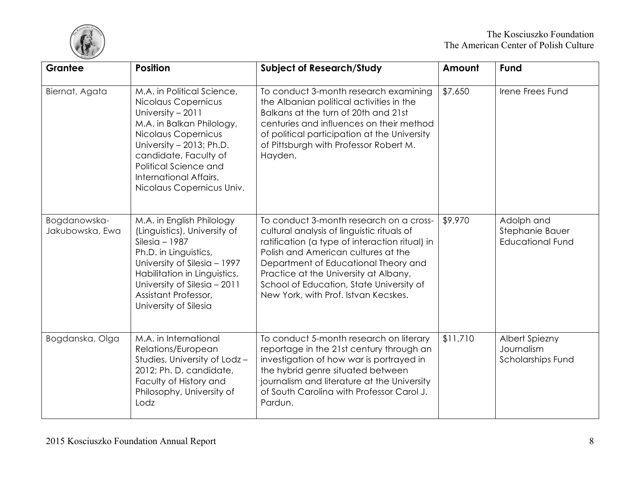

| Grantee                         | <b>Position</b>                                                                                                                                                                                                                                                 | <b>Subject of Research/Study</b>                                                                                                                                                                                                                                                                                                                    | Amount   | Fund                                                     |
|---------------------------------|-----------------------------------------------------------------------------------------------------------------------------------------------------------------------------------------------------------------------------------------------------------------|-----------------------------------------------------------------------------------------------------------------------------------------------------------------------------------------------------------------------------------------------------------------------------------------------------------------------------------------------------|----------|----------------------------------------------------------|
| Biernat, Agata                  | M.A. in Political Science,<br>Nicolaus Copernicus<br>University - 2011<br>M.A. in Balkan Philology,<br>Nicolaus Copernicus<br>University - 2013; Ph.D.<br>candidate, Faculty of<br>Political Science and<br>International Affairs,<br>Nicolaus Copernicus Univ. | To conduct 3-month research examining<br>the Albanian political activities in the<br>Balkans at the turn of 20th and 21st<br>centuries and influences on their method<br>of political participation at the University<br>of Pittsburgh with Professor Robert M.<br>Hayden.                                                                          | \$7,650  | Irene Frees Fund                                         |
| Bogdanowska-<br>Jakubowska, Ewa | M.A. in English Philology<br>(Linguistics), University of<br>$SilesiG - 1987$<br>Ph.D. in Linguistics,<br>University of Silesia - 1997<br>Habilitation in Linguistics,<br>University of Silesia - 2011<br>Assistant Professor,<br>University of Silesia         | To conduct 3-month research on a cross-<br>cultural analysis of linguistic rituals of<br>ratification (a type of interaction ritual) in<br>Polish and American cultures at the<br>Department of Educational Theory and<br>Practice at the University at Albany,<br>School of Education, State University of<br>New York, with Prof. Istvan Kecskes. | \$9,970  | Adolph and<br>Stephanie Bauer<br><b>Educational Fund</b> |
| Bogdanska, Olga                 | M.A. in International<br>Relations/European<br>Studies, University of Lodz-<br>2012; Ph. D. candidate,<br>Faculty of History and<br>Philosophy, University of<br>Lodz                                                                                           | To conduct 5-month research on literary<br>reportage in the 21st century through an<br>investigation of how war is portrayed in<br>the hybrid genre situated between<br>journalism and literature at the University<br>of South Carolina with Professor Carol J.<br>Pardun.                                                                         | \$11,710 | Albert Spiezny<br>Journalism<br><b>Scholarships Fund</b> |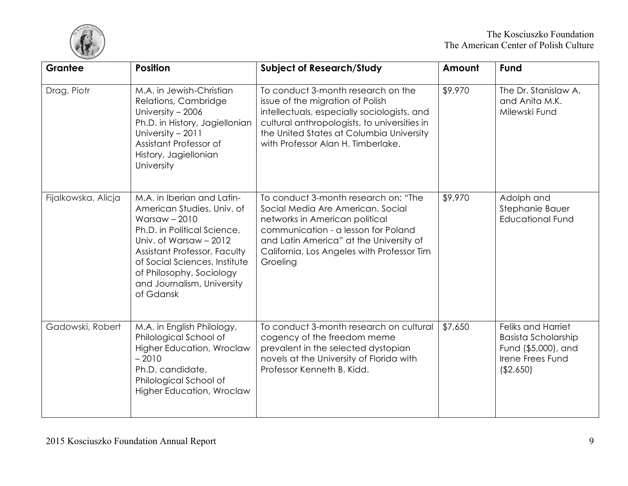

| Grantee             | <b>Position</b>                                                                                                                                                                                                                                                             | <b>Subject of Research/Study</b>                                                                                                                                                                                                                        | Amount  | Fund                                                                                                             |
|---------------------|-----------------------------------------------------------------------------------------------------------------------------------------------------------------------------------------------------------------------------------------------------------------------------|---------------------------------------------------------------------------------------------------------------------------------------------------------------------------------------------------------------------------------------------------------|---------|------------------------------------------------------------------------------------------------------------------|
| Drag, Piotr         | M.A. in Jewish-Christian<br>Relations, Cambridge<br>University - 2006<br>Ph.D. in History, Jagiellonian<br>University - 2011<br>Assistant Professor of<br>History, Jagiellonian<br>University                                                                               | To conduct 3-month research on the<br>issue of the migration of Polish<br>intellectuals, especially sociologists, and<br>cultural anthropologists, to universities in<br>the United States at Columbia University<br>with Professor Alan H. Timberlake. | \$9,970 | The Dr. Stanislaw A.<br>and Anita M.K.<br>Milewski Fund                                                          |
| Fijalkowska, Alicja | M.A. in Iberian and Latin-<br>American Studies, Univ. of<br>Warsaw $-2010$<br>Ph.D. in Political Science,<br>Univ. of Warsaw - 2012<br>Assistant Professor, Faculty<br>of Social Sciences, Institute<br>of Philosophy, Sociology<br>and Journalism, University<br>of Gdansk | To conduct 3-month research on: "The<br>Social Media Are American. Social<br>networks in American political<br>communication - a lesson for Poland<br>and Latin America" at the University of<br>California, Los Angeles with Professor Tim<br>Groeling | \$9,970 | Adolph and<br>Stephanie Bauer<br><b>Educational Fund</b>                                                         |
| Gadowski, Robert    | M.A. in English Philology,<br>Philological School of<br><b>Higher Education, Wroclaw</b><br>$-2010$<br>Ph.D. candidate,<br>Philological School of<br><b>Higher Education, Wroclaw</b>                                                                                       | To conduct 3-month research on cultural<br>cogency of the freedom meme<br>prevalent in the selected dystopian<br>novels at the University of Florida with<br>Professor Kenneth B. Kidd.                                                                 | \$7,650 | <b>Feliks and Harriet</b><br><b>Basista Scholarship</b><br>Fund (\$5,000), and<br>Irene Frees Fund<br>( \$2,650) |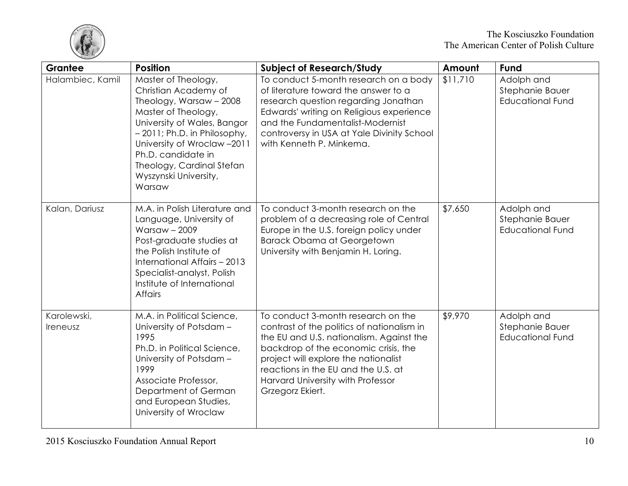

| Grantee                 | <b>Position</b>                                                                                                                                                                                                                                                                   | <b>Subject of Research/Study</b>                                                                                                                                                                                                                                                                             | Amount   | Fund                                                     |
|-------------------------|-----------------------------------------------------------------------------------------------------------------------------------------------------------------------------------------------------------------------------------------------------------------------------------|--------------------------------------------------------------------------------------------------------------------------------------------------------------------------------------------------------------------------------------------------------------------------------------------------------------|----------|----------------------------------------------------------|
| Halambiec, Kamil        | Master of Theology,<br>Christian Academy of<br>Theology, Warsaw - 2008<br>Master of Theology,<br>University of Wales, Bangor<br>- 2011; Ph.D. in Philosophy,<br>University of Wroclaw -2011<br>Ph.D. candidate in<br>Theology, Cardinal Stefan<br>Wyszynski University,<br>Warsaw | To conduct 5-month research on a body<br>of literature toward the answer to a<br>research question regarding Jonathan<br>Edwards' writing on Religious experience<br>and the Fundamentalist-Modernist<br>controversy in USA at Yale Divinity School<br>with Kenneth P. Minkema.                              | \$11,710 | Adolph and<br>Stephanie Bauer<br><b>Educational Fund</b> |
| Kalan, Dariusz          | M.A. in Polish Literature and<br>Language, University of<br><b>Warsaw - 2009</b><br>Post-graduate studies at<br>the Polish Institute of<br>International Affairs - 2013<br>Specialist-analyst, Polish<br>Institute of International<br>Affairs                                    | To conduct 3-month research on the<br>problem of a decreasing role of Central<br>Europe in the U.S. foreign policy under<br><b>Barack Obama at Georgetown</b><br>University with Benjamin H. Loring.                                                                                                         | \$7,650  | Adolph and<br>Stephanie Bauer<br><b>Educational Fund</b> |
| Karolewski,<br>Ireneusz | M.A. in Political Science,<br>University of Potsdam -<br>1995<br>Ph.D. in Political Science,<br>University of Potsdam -<br>1999<br>Associate Professor,<br>Department of German<br>and European Studies,<br>University of Wroclaw                                                 | To conduct 3-month research on the<br>contrast of the politics of nationalism in<br>the EU and U.S. nationalism. Against the<br>backdrop of the economic crisis, the<br>project will explore the nationalist<br>reactions in the EU and the U.S. at<br>Harvard University with Professor<br>Grzegorz Ekiert. | \$9,970  | Adolph and<br>Stephanie Bauer<br><b>Educational Fund</b> |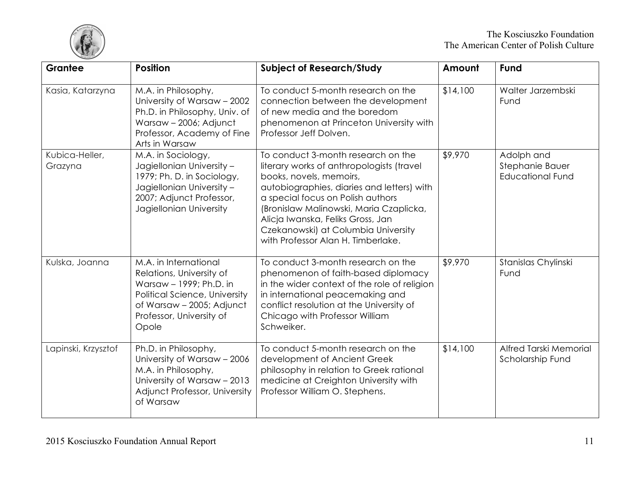

| Grantee                   | <b>Position</b>                                                                                                                                                                 | <b>Subject of Research/Study</b>                                                                                                                                                                                                                                                                                                                           | Amount   | Fund                                                     |
|---------------------------|---------------------------------------------------------------------------------------------------------------------------------------------------------------------------------|------------------------------------------------------------------------------------------------------------------------------------------------------------------------------------------------------------------------------------------------------------------------------------------------------------------------------------------------------------|----------|----------------------------------------------------------|
| Kasia, Katarzyna          | M.A. in Philosophy,<br>University of Warsaw - 2002<br>Ph.D. in Philosophy, Univ. of<br>Warsaw - 2006; Adjunct<br>Professor, Academy of Fine<br>Arts in Warsaw                   | To conduct 5-month research on the<br>connection between the development<br>of new media and the boredom<br>phenomenon at Princeton University with<br>Professor Jeff Dolven.                                                                                                                                                                              | \$14,100 | Walter Jarzembski<br>Fund                                |
| Kubica-Heller,<br>Grazyna | M.A. in Sociology,<br>Jagiellonian University -<br>1979; Ph. D. in Sociology,<br>Jagiellonian University -<br>2007; Adjunct Professor,<br>Jagiellonian University               | To conduct 3-month research on the<br>literary works of anthropologists (travel<br>books, novels, memoirs,<br>autobiographies, diaries and letters) with<br>a special focus on Polish authors<br>(Bronislaw Malinowski, Maria Czaplicka,<br>Alicja Iwanska, Feliks Gross, Jan<br>Czekanowski) at Columbia University<br>with Professor Alan H. Timberlake. | \$9,970  | Adolph and<br>Stephanie Bauer<br><b>Educational Fund</b> |
| Kulska, Joanna            | M.A. in International<br>Relations, University of<br>Warsaw - 1999; Ph.D. in<br>Political Science, University<br>of Warsaw - 2005; Adjunct<br>Professor, University of<br>Opole | To conduct 3-month research on the<br>phenomenon of faith-based diplomacy<br>in the wider context of the role of religion<br>in international peacemaking and<br>conflict resolution at the University of<br>Chicago with Professor William<br>Schweiker.                                                                                                  | \$9,970  | Stanislas Chylinski<br>Fund                              |
| Lapinski, Krzysztof       | Ph.D. in Philosophy,<br>University of Warsaw - 2006<br>M.A. in Philosophy,<br>University of Warsaw - 2013<br>Adjunct Professor, University<br>of Warsaw                         | To conduct 5-month research on the<br>development of Ancient Greek<br>philosophy in relation to Greek rational<br>medicine at Creighton University with<br>Professor William O. Stephens.                                                                                                                                                                  | \$14,100 | Alfred Tarski Memorial<br>Scholarship Fund               |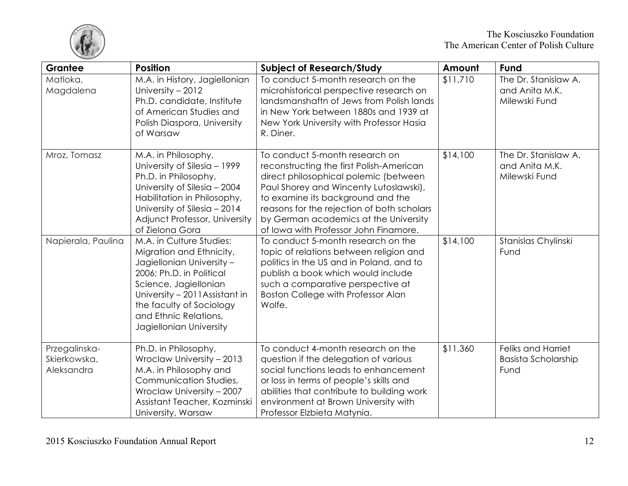

| Grantee                                     | <b>Position</b>                                                                                                                                                                                                                                          | <b>Subject of Research/Study</b>                                                                                                                                                                                                                                                                                                   | Amount   | Fund                                                            |
|---------------------------------------------|----------------------------------------------------------------------------------------------------------------------------------------------------------------------------------------------------------------------------------------------------------|------------------------------------------------------------------------------------------------------------------------------------------------------------------------------------------------------------------------------------------------------------------------------------------------------------------------------------|----------|-----------------------------------------------------------------|
| Matloka,<br>Magdalena                       | M.A. in History, Jagiellonian<br>University - 2012<br>Ph.D. candidate, Institute<br>of American Studies and<br>Polish Diaspora, University<br>of Warsaw                                                                                                  | To conduct 5-month research on the<br>microhistorical perspective research on<br>landsmanshaftn of Jews from Polish lands<br>in New York between 1880s and 1939 at<br>New York University with Professor Hasia<br>R. Diner.                                                                                                        | \$11,710 | The Dr. Stanislaw A.<br>and Anita M.K.<br>Milewski Fund         |
| Mroz, Tomasz                                | M.A. in Philosophy,<br>University of Silesia - 1999<br>Ph.D. in Philosophy,<br>University of Silesia - 2004<br>Habilitation in Philosophy,<br>University of Silesia - 2014<br>Adjunct Professor, University<br>of Zielona Gora                           | To conduct 5-month research on<br>reconstructing the first Polish-American<br>direct philosophical polemic (between<br>Paul Shorey and Wincenty Lutoslawski),<br>to examine its background and the<br>reasons for the rejection of both scholars<br>by German academics at the University<br>of Iowa with Professor John Finamore. | \$14,100 | The Dr. Stanislaw A.<br>and Anita M.K.<br>Milewski Fund         |
| Napierala, Paulina                          | M.A. in Culture Studies:<br>Migration and Ethnicity,<br>Jagiellonian University -<br>2006; Ph.D. in Political<br>Science, Jagiellonian<br>University - 2011 Assistant in<br>the faculty of Sociology<br>and Ethnic Relations,<br>Jagiellonian University | To conduct 5-month research on the<br>topic of relations between religion and<br>politics in the US and in Poland, and to<br>publish a book which would include<br>such a comparative perspective at<br>Boston College with Professor Alan<br>Wolfe.                                                                               | \$14,100 | Stanislas Chylinski<br>Fund                                     |
| Przegalinska-<br>Skierkowska,<br>Aleksandra | Ph.D. in Philosophy,<br>Wroclaw University - 2013<br>M.A. in Philosophy and<br>Communication Studies,<br>Wroclaw University - 2007<br>Assistant Teacher, Kozminski<br>University, Warsaw                                                                 | To conduct 4-month research on the<br>question if the delegation of various<br>social functions leads to enhancement<br>or loss in terms of people's skills and<br>abilities that contribute to building work<br>environment at Brown University with<br>Professor Elzbieta Matynia.                                               | \$11,360 | <b>Feliks and Harriet</b><br><b>Basista Scholarship</b><br>Fund |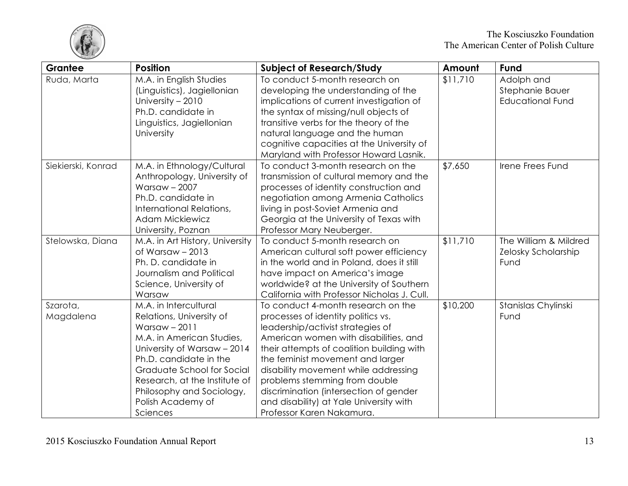

| Grantee               | <b>Position</b>                                                                                                                                                                                                                                                                        | <b>Subject of Research/Study</b>                                                                                                                                                                                                                                                                                                                                                                                                   | Amount   | Fund                                                     |
|-----------------------|----------------------------------------------------------------------------------------------------------------------------------------------------------------------------------------------------------------------------------------------------------------------------------------|------------------------------------------------------------------------------------------------------------------------------------------------------------------------------------------------------------------------------------------------------------------------------------------------------------------------------------------------------------------------------------------------------------------------------------|----------|----------------------------------------------------------|
| Ruda, Marta           | M.A. in English Studies<br>(Linguistics), Jagiellonian<br>University - 2010<br>Ph.D. candidate in<br>Linguistics, Jagiellonian<br>University                                                                                                                                           | To conduct 5-month research on<br>developing the understanding of the<br>implications of current investigation of<br>the syntax of missing/null objects of<br>transitive verbs for the theory of the<br>natural language and the human<br>cognitive capacities at the University of<br>Maryland with Professor Howard Lasnik.                                                                                                      | \$11,710 | Adolph and<br>Stephanie Bauer<br><b>Educational Fund</b> |
| Siekierski, Konrad    | M.A. in Ethnology/Cultural<br>Anthropology, University of<br><b>Warsaw - 2007</b><br>Ph.D. candidate in<br>International Relations,<br><b>Adam Mickiewicz</b><br>University, Poznan                                                                                                    | To conduct 3-month research on the<br>transmission of cultural memory and the<br>processes of identity construction and<br>negotiation among Armenia Catholics<br>living in post-Soviet Armenia and<br>Georgia at the University of Texas with<br>Professor Mary Neuberger.                                                                                                                                                        | \$7,650  | Irene Frees Fund                                         |
| Stelowska, Diana      | M.A. in Art History, University<br>of Warsaw $-2013$<br>Ph. D. candidate in<br>Journalism and Political<br>Science, University of<br>Warsaw                                                                                                                                            | To conduct 5-month research on<br>American cultural soft power efficiency<br>in the world and in Poland, does it still<br>have impact on America's image<br>worldwide? at the University of Southern<br>California with Professor Nicholas J. Cull.                                                                                                                                                                                | \$11,710 | The William & Mildred<br>Zelosky Scholarship<br>Fund     |
| Szarota,<br>Magdalena | M.A. in Intercultural<br>Relations, University of<br>Warsaw $-2011$<br>M.A. in American Studies,<br>University of Warsaw - 2014<br>Ph.D. candidate in the<br>Graduate School for Social<br>Research, at the Institute of<br>Philosophy and Sociology,<br>Polish Academy of<br>Sciences | To conduct 4-month research on the<br>processes of identity politics vs.<br>leadership/activist strategies of<br>American women with disabilities, and<br>their attempts of coalition building with<br>the feminist movement and larger<br>disability movement while addressing<br>problems stemming from double<br>discrimination (intersection of gender<br>and disability) at Yale University with<br>Professor Karen Nakamura. | \$10,200 | Stanislas Chylinski<br>Fund                              |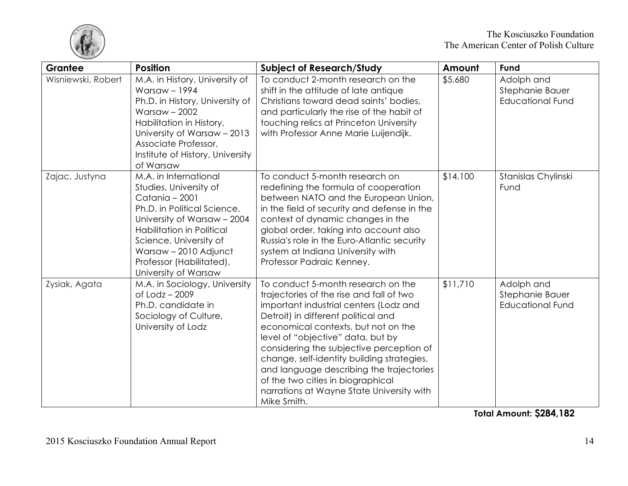

| Grantee            | <b>Position</b>                                                                                                                                                                                                                                                     | <b>Subject of Research/Study</b>                                                                                                                                                                                                                                                                                                                                                                                                                                                   | Amount   | Fund                                                     |
|--------------------|---------------------------------------------------------------------------------------------------------------------------------------------------------------------------------------------------------------------------------------------------------------------|------------------------------------------------------------------------------------------------------------------------------------------------------------------------------------------------------------------------------------------------------------------------------------------------------------------------------------------------------------------------------------------------------------------------------------------------------------------------------------|----------|----------------------------------------------------------|
| Wisniewski, Robert | M.A. in History, University of<br>Warsaw $-1994$<br>Ph.D. in History, University of<br>Warsaw $-2002$<br>Habilitation in History,<br>University of Warsaw - 2013<br>Associate Professor,<br>Institute of History, University<br>of Warsaw                           | To conduct 2-month research on the<br>shift in the attitude of late antique<br>Christians toward dead saints' bodies,<br>and particularly the rise of the habit of<br>touching relics at Princeton University<br>with Professor Anne Marie Luijendijk.                                                                                                                                                                                                                             | \$5,680  | Adolph and<br>Stephanie Bauer<br><b>Educational Fund</b> |
| Zajac, Justyna     | M.A. in International<br>Studies, University of<br>Catania - 2001<br>Ph.D. in Political Science,<br>University of Warsaw - 2004<br>Habilitation in Political<br>Science, University of<br>Warsaw - 2010 Adjunct<br>Professor (Habilitated),<br>University of Warsaw | To conduct 5-month research on<br>redefining the formula of cooperation<br>between NATO and the European Union,<br>in the field of security and defense in the<br>context of dynamic changes in the<br>global order, taking into account also<br>Russia's role in the Euro-Atlantic security<br>system at Indiana University with<br>Professor Padraic Kenney.                                                                                                                     | \$14,100 | Stanislas Chylinski<br>Fund                              |
| Zysiak, Agata      | M.A. in Sociology, University<br>of $Lodz - 2009$<br>Ph.D. candidate in<br>Sociology of Culture,<br>University of Lodz                                                                                                                                              | To conduct 5-month research on the<br>trajectories of the rise and fall of two<br>important industrial centers (Lodz and<br>Detroit) in different political and<br>economical contexts, but not on the<br>level of "objective" data, but by<br>considering the subjective perception of<br>change, self-identity building strategies,<br>and language describing the trajectories<br>of the two cities in biographical<br>narrations at Wayne State University with<br>Mike Smith. | \$11,710 | Adolph and<br>Stephanie Bauer<br><b>Educational Fund</b> |

**Total Amount: \$284,182**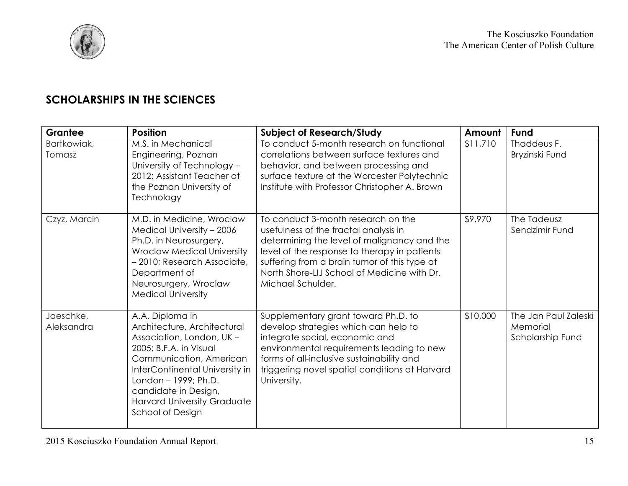

## **SCHOLARSHIPS IN THE SCIENCES**

| <b>Grantee</b>          | <b>Position</b>                                                                                                                                                                                                                                                              | <b>Subject of Research/Study</b>                                                                                                                                                                                                                                                               | Amount   | Fund                                                 |
|-------------------------|------------------------------------------------------------------------------------------------------------------------------------------------------------------------------------------------------------------------------------------------------------------------------|------------------------------------------------------------------------------------------------------------------------------------------------------------------------------------------------------------------------------------------------------------------------------------------------|----------|------------------------------------------------------|
| Bartkowiak,<br>Tomasz   | M.S. in Mechanical<br>Engineering, Poznan<br>University of Technology -<br>2012; Assistant Teacher at<br>the Poznan University of<br>Technology                                                                                                                              | To conduct 5-month research on functional<br>correlations between surface textures and<br>behavior, and between processing and<br>surface texture at the Worcester Polytechnic<br>Institute with Professor Christopher A. Brown                                                                | \$11,710 | Thaddeus F.<br>Bryzinski Fund                        |
| Czyz, Marcin            | M.D. in Medicine, Wroclaw<br>Medical University - 2006<br>Ph.D. in Neurosurgery,<br><b>Wroclaw Medical University</b><br>- 2010; Research Associate,<br>Department of<br>Neurosurgery, Wroclaw<br><b>Medical University</b>                                                  | To conduct 3-month research on the<br>usefulness of the fractal analysis in<br>determining the level of malignancy and the<br>level of the response to therapy in patients<br>suffering from a brain tumor of this type at<br>North Shore-LIJ School of Medicine with Dr.<br>Michael Schulder. | \$9,970  | The Tadeusz<br>Sendzimir Fund                        |
| Jaeschke,<br>Aleksandra | A.A. Diploma in<br>Architecture, Architectural<br>Association, London, UK -<br>2005; B.F.A. in Visual<br>Communication, American<br>InterContinental University in<br>London - 1999; Ph.D.<br>candidate in Design,<br><b>Harvard University Graduate</b><br>School of Design | Supplementary grant toward Ph.D. to<br>develop strategies which can help to<br>integrate social, economic and<br>environmental requirements leading to new<br>forms of all-inclusive sustainability and<br>triggering novel spatial conditions at Harvard<br>University.                       | \$10,000 | The Jan Paul Zaleski<br>Memorial<br>Scholarship Fund |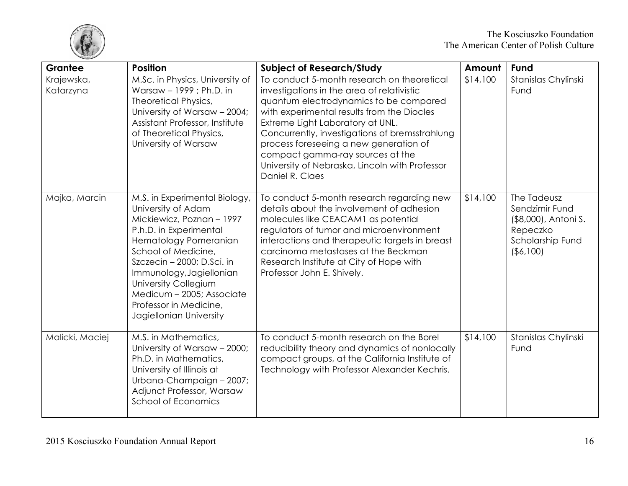

| Grantee                 | <b>Position</b>                                                                                                                                                                                                                                                                                                                | <b>Subject of Research/Study</b>                                                                                                                                                                                                                                                                                                                                                                                          | Amount   | <b>Fund</b>                                                                                           |
|-------------------------|--------------------------------------------------------------------------------------------------------------------------------------------------------------------------------------------------------------------------------------------------------------------------------------------------------------------------------|---------------------------------------------------------------------------------------------------------------------------------------------------------------------------------------------------------------------------------------------------------------------------------------------------------------------------------------------------------------------------------------------------------------------------|----------|-------------------------------------------------------------------------------------------------------|
| Krajewska,<br>Katarzyna | M.Sc. in Physics, University of<br>Warsaw - 1999 ; Ph.D. in<br><b>Theoretical Physics,</b><br>University of Warsaw - 2004;<br>Assistant Professor, Institute<br>of Theoretical Physics,<br>University of Warsaw                                                                                                                | To conduct 5-month research on theoretical<br>investigations in the area of relativistic<br>quantum electrodynamics to be compared<br>with experimental results from the Diocles<br>Extreme Light Laboratory at UNL.<br>Concurrently, investigations of bremsstrahlung<br>process foreseeing a new generation of<br>compact gamma-ray sources at the<br>University of Nebraska, Lincoln with Professor<br>Daniel R. Claes | \$14,100 | Stanislas Chylinski<br>Fund                                                                           |
| Majka, Marcin           | M.S. in Experimental Biology,<br>University of Adam<br>Mickiewicz, Poznan - 1997<br>P.h.D. in Experimental<br>Hematology Pomeranian<br>School of Medicine,<br>Szczecin – 2000; D.Sci. in<br>Immunology, Jagiellonian<br>University Collegium<br>Medicum - 2005; Associate<br>Professor in Medicine,<br>Jagiellonian University | To conduct 5-month research regarding new<br>details about the involvement of adhesion<br>molecules like CEACAM1 as potential<br>regulators of tumor and microenvironment<br>interactions and therapeutic targets in breast<br>carcinoma metastases at the Beckman<br>Research Institute at City of Hope with<br>Professor John E. Shively.                                                                               | \$14,100 | The Tadeusz<br>Sendzimir Fund<br>(\$8,000), Antoni S.<br>Repeczko<br>Scholarship Fund<br>$($ \$6,100) |
| Malicki, Maciej         | M.S. in Mathematics,<br>University of Warsaw - 2000;<br>Ph.D. in Mathematics,<br>University of Illinois at<br>Urbana-Champaign - 2007;<br>Adjunct Professor, Warsaw<br>School of Economics                                                                                                                                     | To conduct 5-month research on the Borel<br>reducibility theory and dynamics of nonlocally<br>compact groups, at the California Institute of<br>Technology with Professor Alexander Kechris.                                                                                                                                                                                                                              | \$14,100 | Stanislas Chylinski<br>Fund                                                                           |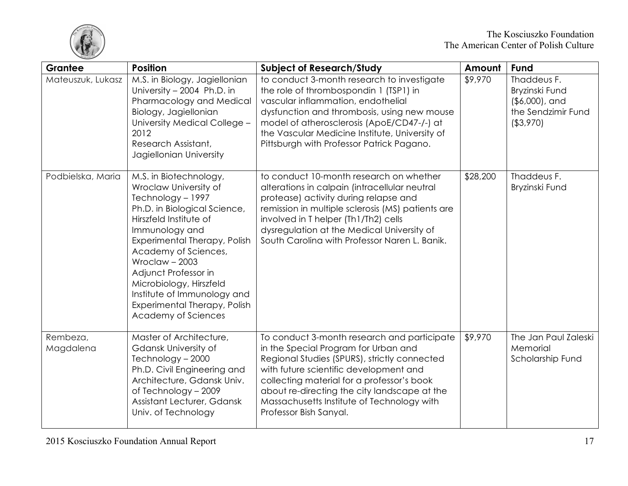

| Grantee               | <b>Position</b>                                                                                                                                                                                                                                                                                                                                                      | <b>Subject of Research/Study</b>                                                                                                                                                                                                                                                                                                                    | Amount   | <b>Fund</b>                                                                            |
|-----------------------|----------------------------------------------------------------------------------------------------------------------------------------------------------------------------------------------------------------------------------------------------------------------------------------------------------------------------------------------------------------------|-----------------------------------------------------------------------------------------------------------------------------------------------------------------------------------------------------------------------------------------------------------------------------------------------------------------------------------------------------|----------|----------------------------------------------------------------------------------------|
| Mateuszuk, Lukasz     | M.S. in Biology, Jagiellonian<br>University - 2004 Ph.D. in<br>Pharmacology and Medical<br>Biology, Jagiellonian<br>University Medical College -<br>2012<br>Research Assistant,<br>Jagiellonian University                                                                                                                                                           | to conduct 3-month research to investigate<br>the role of thrombospondin 1 (TSP1) in<br>vascular inflammation, endothelial<br>dysfunction and thrombosis, using new mouse<br>model of atherosclerosis (ApoE/CD47-/-) at<br>the Vascular Medicine Institute, University of<br>Pittsburgh with Professor Patrick Pagano.                              | \$9,970  | Thaddeus F.<br>Bryzinski Fund<br>$( $6,000]$ , and<br>the Sendzimir Fund<br>( \$3,970) |
| Podbielska, Maria     | M.S. in Biotechnology,<br>Wroclaw University of<br>Technology - 1997<br>Ph.D. in Biological Science,<br>Hirszfeld Institute of<br>Immunology and<br>Experimental Therapy, Polish<br>Academy of Sciences,<br>Wroclaw $-2003$<br>Adjunct Professor in<br>Microbiology, Hirszfeld<br>Institute of Immunology and<br>Experimental Therapy, Polish<br>Academy of Sciences | to conduct 10-month research on whether<br>alterations in calpain (intracellular neutral<br>protease) activity during relapse and<br>remission in multiple sclerosis (MS) patients are<br>involved in T helper (Th1/Th2) cells<br>dysregulation at the Medical University of<br>South Carolina with Professor Naren L. Banik.                       | \$28,200 | Thaddeus F.<br>Bryzinski Fund                                                          |
| Rembeza,<br>Magdalena | Master of Architecture,<br>Gdansk University of<br>Technology - 2000<br>Ph.D. Civil Engineering and<br>Architecture, Gdansk Univ.<br>of Technology - 2009<br>Assistant Lecturer, Gdansk<br>Univ. of Technology                                                                                                                                                       | To conduct 3-month research and participate<br>in the Special Program for Urban and<br>Regional Studies (SPURS), strictly connected<br>with future scientific development and<br>collecting material for a professor's book<br>about re-directing the city landscape at the<br>Massachusetts Institute of Technology with<br>Professor Bish Sanyal. | \$9,970  | The Jan Paul Zaleski<br>Memorial<br>Scholarship Fund                                   |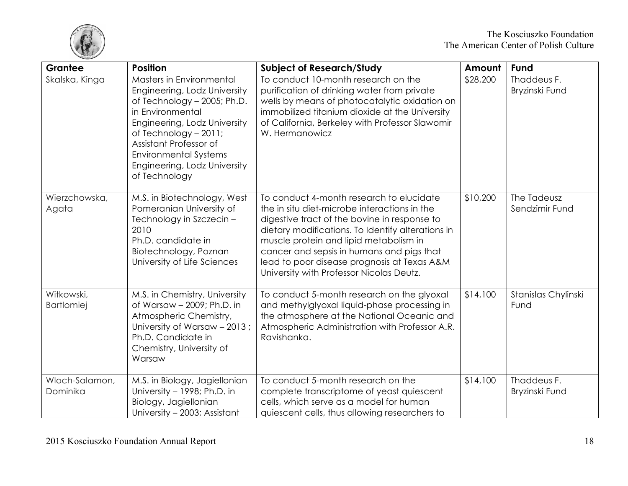

| Grantee                         | <b>Position</b>                                                                                                                                                                                                                                                                   | <b>Subject of Research/Study</b>                                                                                                                                                                                                                                                                                                                                                | Amount   | Fund                          |
|---------------------------------|-----------------------------------------------------------------------------------------------------------------------------------------------------------------------------------------------------------------------------------------------------------------------------------|---------------------------------------------------------------------------------------------------------------------------------------------------------------------------------------------------------------------------------------------------------------------------------------------------------------------------------------------------------------------------------|----------|-------------------------------|
| Skalska, Kinga                  | Masters in Environmental<br>Engineering, Lodz University<br>of Technology - 2005; Ph.D.<br>in Environmental<br>Engineering, Lodz University<br>of Technology $-2011$ ;<br>Assistant Professor of<br><b>Environmental Systems</b><br>Engineering, Lodz University<br>of Technology | To conduct 10-month research on the<br>purification of drinking water from private<br>wells by means of photocatalytic oxidation on<br>immobilized titanium dioxide at the University<br>of California, Berkeley with Professor Slawomir<br>W. Hermanowicz                                                                                                                      | \$28,200 | Thaddeus F.<br>Bryzinski Fund |
| Wierzchowska,<br>Agata          | M.S. in Biotechnology, West<br>Pomeranian University of<br>Technology in Szczecin -<br>2010<br>Ph.D. candidate in<br>Biotechnology, Poznan<br>University of Life Sciences                                                                                                         | To conduct 4-month research to elucidate<br>the in situ diet-microbe interactions in the<br>digestive tract of the bovine in response to<br>dietary modifications. To Identify alterations in<br>muscle protein and lipid metabolism in<br>cancer and sepsis in humans and pigs that<br>lead to poor disease prognosis at Texas A&M<br>University with Professor Nicolas Deutz. | \$10,200 | The Tadeusz<br>Sendzimir Fund |
| Witkowski,<br><b>Bartlomiej</b> | M.S. in Chemistry, University<br>of Warsaw - 2009; Ph.D. in<br>Atmospheric Chemistry,<br>University of Warsaw - 2013;<br>Ph.D. Candidate in<br>Chemistry, University of<br>Warsaw                                                                                                 | To conduct 5-month research on the glyoxal<br>and methylglyoxal liquid-phase processing in<br>the atmosphere at the National Oceanic and<br>Atmospheric Administration with Professor A.R.<br>Ravishanka.                                                                                                                                                                       | \$14,100 | Stanislas Chylinski<br>Fund   |
| Wloch-Salamon,<br>Dominika      | M.S. in Biology, Jagiellonian<br>University - 1998; Ph.D. in<br>Biology, Jagiellonian<br>University - 2003; Assistant                                                                                                                                                             | To conduct 5-month research on the<br>complete transcriptome of yeast quiescent<br>cells, which serve as a model for human<br>quiescent cells, thus allowing researchers to                                                                                                                                                                                                     | \$14,100 | Thaddeus F.<br>Bryzinski Fund |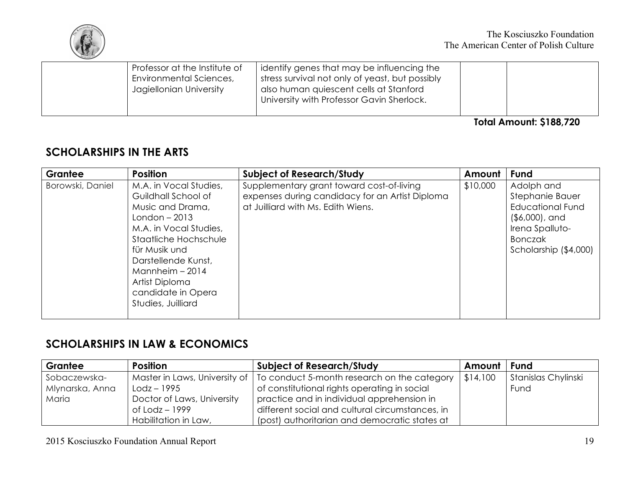

| Professor at the Institute of<br><b>Environmental Sciences,</b><br>Jagiellonian University | identify genes that may be influencing the<br>stress survival not only of yeast, but possibly<br>also human quiescent cells at Stanford<br>University with Professor Gavin Sherlock. |                                |
|--------------------------------------------------------------------------------------------|--------------------------------------------------------------------------------------------------------------------------------------------------------------------------------------|--------------------------------|
|                                                                                            |                                                                                                                                                                                      | <b>Total Amount: \$188,720</b> |

## **SCHOLARSHIPS IN THE ARTS**

| <b>Grantee</b>   | <b>Position</b>                                                                                                                                                                                                                                                   | <b>Subject of Research/Study</b>                                                                                                   | Amount   | <b>Fund</b>                                                                                                                                 |
|------------------|-------------------------------------------------------------------------------------------------------------------------------------------------------------------------------------------------------------------------------------------------------------------|------------------------------------------------------------------------------------------------------------------------------------|----------|---------------------------------------------------------------------------------------------------------------------------------------------|
| Borowski, Daniel | M.A. in Vocal Studies,<br>Guildhall School of<br>Music and Drama,<br>$London - 2013$<br>M.A. in Vocal Studies,<br>Staatliche Hochschule<br>für Musik und<br>Darstellende Kunst,<br>Mannheim $-2014$<br>Artist Diploma<br>candidate in Opera<br>Studies, Juilliard | Supplementary grant toward cost-of-living<br>expenses during candidacy for an Artist Diploma<br>at Juilliard with Ms. Edith Wiens. | \$10,000 | Adolph and<br>Stephanie Bauer<br><b>Educational Fund</b><br>$($ \$6,000), and<br>Irena Spalluto-<br><b>Bonczak</b><br>Scholarship (\$4,000) |

## **SCHOLARSHIPS IN LAW & ECONOMICS**

| Grantee         | <b>Position</b>            | <b>Subject of Research/Study</b>                                            | Amount   | l Fund              |
|-----------------|----------------------------|-----------------------------------------------------------------------------|----------|---------------------|
| Sobaczewska-    |                            | Master in Laws, University of   To conduct 5-month research on the category | \$14,100 | Stanislas Chylinski |
| Mlynarska, Anna | $Lodz - 1995$              | of constitutional rights operating in social                                |          | Fund                |
| Maria           | Doctor of Laws, University | practice and in individual apprehension in                                  |          |                     |
|                 | of Lodz – 1999             | different social and cultural circumstances, in                             |          |                     |
|                 | Habilitation in Law,       | (post) authoritarian and democratic states at                               |          |                     |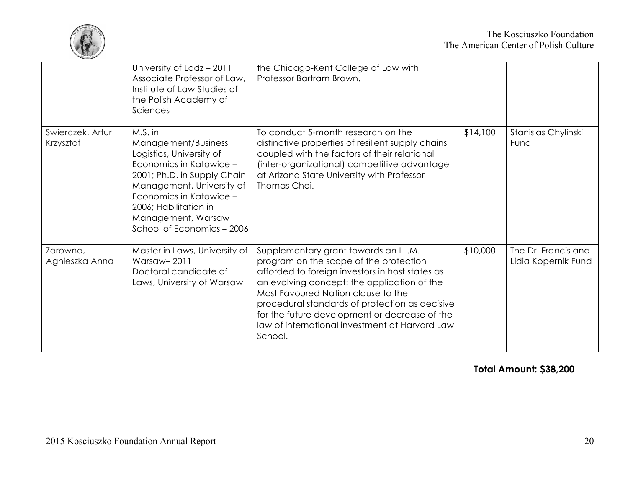

|                               | University of Lodz - 2011<br>Associate Professor of Law,<br>Institute of Law Studies of<br>the Polish Academy of<br>Sciences                                                                                                                              | the Chicago-Kent College of Law with<br>Professor Bartram Brown.                                                                                                                                                                                                                                                                                                                       |          |                                            |
|-------------------------------|-----------------------------------------------------------------------------------------------------------------------------------------------------------------------------------------------------------------------------------------------------------|----------------------------------------------------------------------------------------------------------------------------------------------------------------------------------------------------------------------------------------------------------------------------------------------------------------------------------------------------------------------------------------|----------|--------------------------------------------|
| Swierczek, Artur<br>Krzysztof | M.S. in<br>Management/Business<br>Logistics, University of<br>Economics in Katowice -<br>2001; Ph.D. in Supply Chain<br>Management, University of<br>Economics in Katowice -<br>2006; Habilitation in<br>Management, Warsaw<br>School of Economics - 2006 | To conduct 5-month research on the<br>distinctive properties of resilient supply chains<br>coupled with the factors of their relational<br>(inter-organizational) competitive advantage<br>at Arizona State University with Professor<br>Thomas Choi.                                                                                                                                  | \$14,100 | Stanislas Chylinski<br>Fund                |
| Zarowna,<br>Agnieszka Anna    | Master in Laws, University of<br>Warsaw-2011<br>Doctoral candidate of<br>Laws, University of Warsaw                                                                                                                                                       | Supplementary grant towards an LL.M.<br>program on the scope of the protection<br>afforded to foreign investors in host states as<br>an evolving concept: the application of the<br>Most Favoured Nation clause to the<br>procedural standards of protection as decisive<br>for the future development or decrease of the<br>law of international investment at Harvard Law<br>School. | \$10,000 | The Dr. Francis and<br>Lidia Kopernik Fund |

**Total Amount: \$38,200**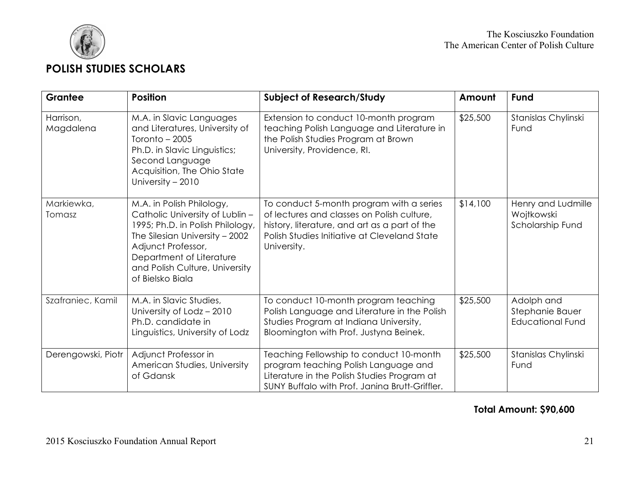

| Grantee                | <b>Position</b>                                                                                                                                                                                                                            | <b>Subject of Research/Study</b>                                                                                                                                                                       | Amount   | Fund                                                     |
|------------------------|--------------------------------------------------------------------------------------------------------------------------------------------------------------------------------------------------------------------------------------------|--------------------------------------------------------------------------------------------------------------------------------------------------------------------------------------------------------|----------|----------------------------------------------------------|
| Harrison,<br>Magdalena | M.A. in Slavic Languages<br>and Literatures, University of<br>Toronto $-2005$<br>Ph.D. in Slavic Linguistics;<br>Second Language<br>Acquisition, The Ohio State<br>University - 2010                                                       | Extension to conduct 10-month program<br>teaching Polish Language and Literature in<br>the Polish Studies Program at Brown<br>University, Providence, RI.                                              | \$25,500 | Stanislas Chylinski<br>Fund                              |
| Markiewka,<br>Tomasz   | M.A. in Polish Philology,<br>Catholic University of Lublin -<br>1995; Ph.D. in Polish Philology,<br>The Silesian University - 2002<br>Adjunct Professor,<br>Department of Literature<br>and Polish Culture, University<br>of Bielsko Biala | To conduct 5-month program with a series<br>of lectures and classes on Polish culture,<br>history, literature, and art as a part of the<br>Polish Studies Initiative at Cleveland State<br>University. | \$14,100 | Henry and Ludmille<br>Wojtkowski<br>Scholarship Fund     |
| Szafraniec, Kamil      | M.A. in Slavic Studies,<br>University of Lodz - 2010<br>Ph.D. candidate in<br>Linguistics, University of Lodz                                                                                                                              | To conduct 10-month program teaching<br>Polish Language and Literature in the Polish<br>Studies Program at Indiana University,<br>Bloomington with Prof. Justyna Beinek.                               | \$25,500 | Adolph and<br>Stephanie Bauer<br><b>Educational Fund</b> |
| Derengowski, Piotr     | Adjunct Professor in<br>American Studies, University<br>of Gdansk                                                                                                                                                                          | Teaching Fellowship to conduct 10-month<br>program teaching Polish Language and<br>Literature in the Polish Studies Program at<br>SUNY Buffalo with Prof. Janina Brutt-Griffler.                       | \$25,500 | Stanislas Chylinski<br>Fund                              |

#### **Total Amount: \$90,600**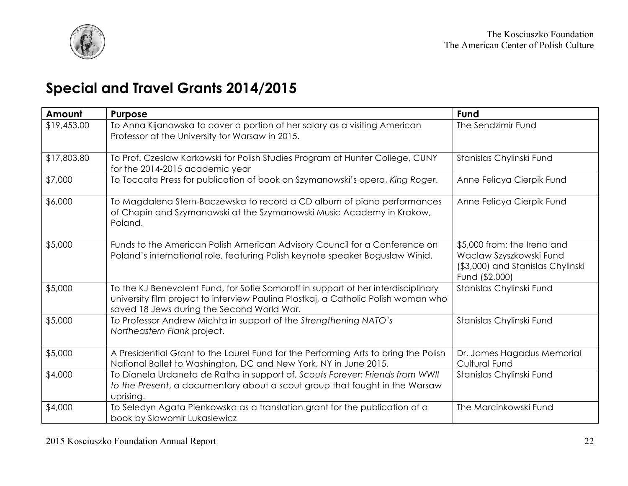

# **Special and Travel Grants 2014/2015**

| Amount      | Purpose                                                                                                                                                                                                               | Fund                                                                                                          |
|-------------|-----------------------------------------------------------------------------------------------------------------------------------------------------------------------------------------------------------------------|---------------------------------------------------------------------------------------------------------------|
| \$19,453.00 | To Anna Kijanowska to cover a portion of her salary as a visiting American<br>Professor at the University for Warsaw in 2015.                                                                                         | The Sendzimir Fund                                                                                            |
| \$17,803.80 | To Prof. Czeslaw Karkowski for Polish Studies Program at Hunter College, CUNY<br>for the 2014-2015 academic year                                                                                                      | Stanislas Chylinski Fund                                                                                      |
| \$7,000     | To Toccata Press for publication of book on Szymanowski's opera, King Roger.                                                                                                                                          | Anne Felicya Cierpik Fund                                                                                     |
| \$6,000     | To Magdalena Stern-Baczewska to record a CD album of piano performances<br>of Chopin and Szymanowski at the Szymanowski Music Academy in Krakow,<br>Poland.                                                           | Anne Felicya Cierpik Fund                                                                                     |
| \$5,000     | Funds to the American Polish American Advisory Council for a Conference on<br>Poland's international role, featuring Polish keynote speaker Boguslaw Winid.                                                           | \$5,000 from: the Irena and<br>Waclaw Szyszkowski Fund<br>(\$3,000) and Stanislas Chylinski<br>Fund (\$2,000) |
| \$5,000     | To the KJ Benevolent Fund, for Sofie Somoroff in support of her interdisciplinary<br>university film project to interview Paulina Plostkaj, a Catholic Polish woman who<br>saved 18 Jews during the Second World War. | Stanislas Chylinski Fund                                                                                      |
| \$5,000     | To Professor Andrew Michta in support of the Strengthening NATO's<br>Northeastern Flank project.                                                                                                                      | Stanislas Chylinski Fund                                                                                      |
| \$5,000     | A Presidential Grant to the Laurel Fund for the Performing Arts to bring the Polish<br>National Ballet to Washington, DC and New York, NY in June 2015.                                                               | Dr. James Hagadus Memorial<br><b>Cultural Fund</b>                                                            |
| \$4,000     | To Dianela Urdaneta de Ratha in support of, Scouts Forever: Friends from WWII<br>to the Present, a documentary about a scout group that fought in the Warsaw<br>uprising.                                             | Stanislas Chylinski Fund                                                                                      |
| \$4,000     | To Seledyn Agata Pienkowska as a translation grant for the publication of a<br>book by Slawomir Lukasiewicz                                                                                                           | The Marcinkowski Fund                                                                                         |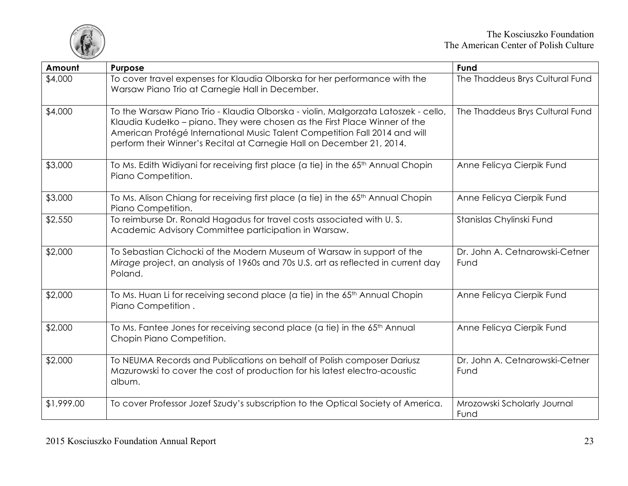

| Amount     | Purpose                                                                                                                                                                                                                                                                                                                 | <b>Fund</b>                            |
|------------|-------------------------------------------------------------------------------------------------------------------------------------------------------------------------------------------------------------------------------------------------------------------------------------------------------------------------|----------------------------------------|
| \$4,000    | To cover travel expenses for Klaudia Olborska for her performance with the<br>Warsaw Piano Trio at Carnegie Hall in December.                                                                                                                                                                                           | The Thaddeus Brys Cultural Fund        |
| \$4,000    | To the Warsaw Piano Trio - Klaudia Olborska - violin, Małgorzata Latoszek - cello,<br>Klaudia Kudełko – piano. They were chosen as the First Place Winner of the<br>American Protégé International Music Talent Competition Fall 2014 and will<br>perform their Winner's Recital at Carnegie Hall on December 21, 2014. | The Thaddeus Brys Cultural Fund        |
| \$3,000    | To Ms. Edith Widiyani for receiving first place (a tie) in the 65 <sup>th</sup> Annual Chopin<br>Piano Competition.                                                                                                                                                                                                     | Anne Felicya Cierpik Fund              |
| \$3,000    | To Ms. Alison Chiang for receiving first place (a tie) in the 65 <sup>th</sup> Annual Chopin<br>Piano Competition.                                                                                                                                                                                                      | Anne Felicya Cierpik Fund              |
| \$2,550    | To reimburse Dr. Ronald Hagadus for travel costs associated with U.S.<br>Academic Advisory Committee participation in Warsaw.                                                                                                                                                                                           | Stanislas Chylinski Fund               |
| \$2,000    | To Sebastian Cichocki of the Modern Museum of Warsaw in support of the<br>Mirage project, an analysis of 1960s and 70s U.S. art as reflected in current day<br>Poland.                                                                                                                                                  | Dr. John A. Cetnarowski-Cetner<br>Fund |
| \$2,000    | To Ms. Huan Li for receiving second place (a tie) in the 65 <sup>th</sup> Annual Chopin<br>Piano Competition.                                                                                                                                                                                                           | Anne Felicya Cierpik Fund              |
| \$2,000    | To Ms. Fantee Jones for receiving second place (a tie) in the 65 <sup>th</sup> Annual<br>Chopin Piano Competition.                                                                                                                                                                                                      | Anne Felicya Cierpik Fund              |
| \$2,000    | To NEUMA Records and Publications on behalf of Polish composer Dariusz<br>Mazurowski to cover the cost of production for his latest electro-acoustic<br>album.                                                                                                                                                          | Dr. John A. Cetnarowski-Cetner<br>Fund |
| \$1,999.00 | To cover Professor Jozef Szudy's subscription to the Optical Society of America.                                                                                                                                                                                                                                        | Mrozowski Scholarly Journal<br>Fund    |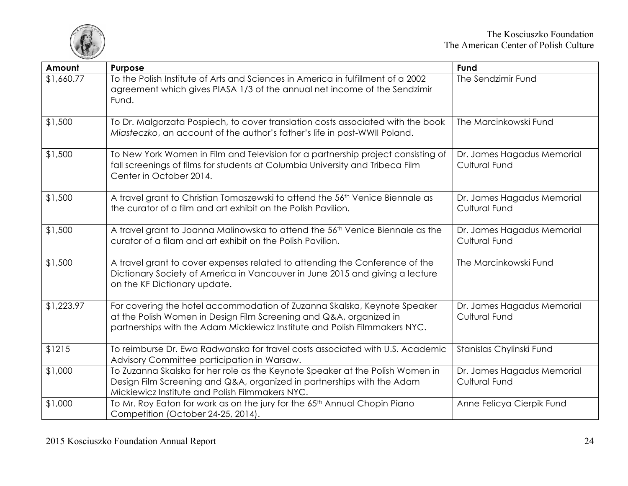

| Amount     | Purpose                                                                                                                                                                                                                      | Fund                                               |
|------------|------------------------------------------------------------------------------------------------------------------------------------------------------------------------------------------------------------------------------|----------------------------------------------------|
| \$1,660.77 | To the Polish Institute of Arts and Sciences in America in fulfillment of a 2002<br>agreement which gives PIASA 1/3 of the annual net income of the Sendzimir<br>Fund.                                                       | The Sendzimir Fund                                 |
| \$1,500    | To Dr. Malgorzata Pospiech, to cover translation costs associated with the book<br>Miasteczko, an account of the author's father's life in post-WWII Poland.                                                                 | The Marcinkowski Fund                              |
| \$1,500    | To New York Women in Film and Television for a partnership project consisting of<br>fall screenings of films for students at Columbia University and Tribeca Film<br>Center in October 2014.                                 | Dr. James Hagadus Memorial<br><b>Cultural Fund</b> |
| \$1,500    | A travel grant to Christian Tomaszewski to attend the 56 <sup>th</sup> Venice Biennale as<br>the curator of a film and art exhibit on the Polish Pavilion.                                                                   | Dr. James Hagadus Memorial<br><b>Cultural Fund</b> |
| \$1,500    | A travel grant to Joanna Malinowska to attend the 56 <sup>th</sup> Venice Biennale as the<br>curator of a filam and art exhibit on the Polish Pavilion.                                                                      | Dr. James Hagadus Memorial<br><b>Cultural Fund</b> |
| \$1,500    | A travel grant to cover expenses related to attending the Conference of the<br>Dictionary Society of America in Vancouver in June 2015 and giving a lecture<br>on the KF Dictionary update.                                  | The Marcinkowski Fund                              |
| \$1,223.97 | For covering the hotel accommodation of Zuzanna Skalska, Keynote Speaker<br>at the Polish Women in Design Film Screening and Q&A, organized in<br>partnerships with the Adam Mickiewicz Institute and Polish Filmmakers NYC. | Dr. James Hagadus Memorial<br>Cultural Fund        |
| \$1215     | To reimburse Dr. Ewa Radwanska for travel costs associated with U.S. Academic<br>Advisory Committee participation in Warsaw.                                                                                                 | Stanislas Chylinski Fund                           |
| \$1,000    | To Zuzanna Skalska for her role as the Keynote Speaker at the Polish Women in<br>Design Film Screening and Q&A, organized in partnerships with the Adam<br>Mickiewicz Institute and Polish Filmmakers NYC.                   | Dr. James Hagadus Memorial<br><b>Cultural Fund</b> |
| \$1,000    | To Mr. Roy Eaton for work as on the jury for the 65 <sup>th</sup> Annual Chopin Piano<br>Competition (October 24-25, 2014).                                                                                                  | Anne Felicya Cierpik Fund                          |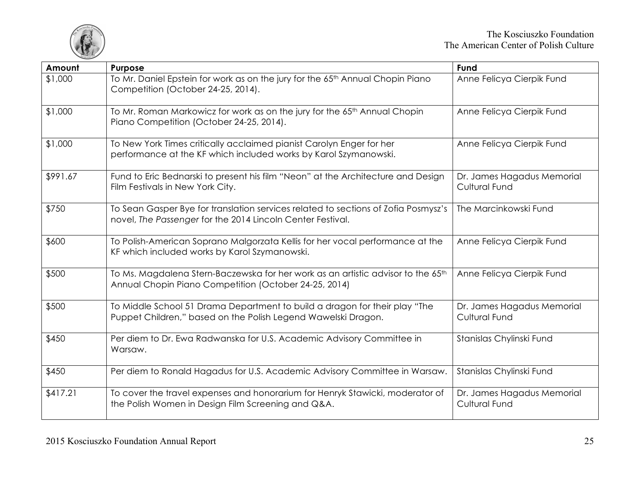

| Amount   | Purpose                                                                                                                                               | Fund                                               |
|----------|-------------------------------------------------------------------------------------------------------------------------------------------------------|----------------------------------------------------|
| \$1,000  | To Mr. Daniel Epstein for work as on the jury for the 65 <sup>th</sup> Annual Chopin Piano<br>Competition (October 24-25, 2014).                      | Anne Felicya Cierpik Fund                          |
| \$1,000  | To Mr. Roman Markowicz for work as on the jury for the 65 <sup>th</sup> Annual Chopin<br>Piano Competition (October 24-25, 2014).                     | Anne Felicya Cierpik Fund                          |
| \$1,000  | To New York Times critically acclaimed pianist Carolyn Enger for her<br>performance at the KF which included works by Karol Szymanowski.              | Anne Felicya Cierpik Fund                          |
| \$991.67 | Fund to Eric Bednarski to present his film "Neon" at the Architecture and Design<br>Film Festivals in New York City.                                  | Dr. James Hagadus Memorial<br><b>Cultural Fund</b> |
| \$750    | To Sean Gasper Bye for translation services related to sections of Zofia Posmysz's<br>novel, The Passenger for the 2014 Lincoln Center Festival.      | The Marcinkowski Fund                              |
| \$600    | To Polish-American Soprano Malgorzata Kellis for her vocal performance at the<br>KF which included works by Karol Szymanowski.                        | Anne Felicya Cierpik Fund                          |
| \$500    | To Ms. Magdalena Stern-Baczewska for her work as an artistic advisor to the 65 <sup>th</sup><br>Annual Chopin Piano Competition (October 24-25, 2014) | Anne Felicya Cierpik Fund                          |
| \$500    | To Middle School 51 Drama Department to build a dragon for their play "The<br>Puppet Children," based on the Polish Legend Wawelski Dragon.           | Dr. James Hagadus Memorial<br><b>Cultural Fund</b> |
| \$450    | Per diem to Dr. Ewa Radwanska for U.S. Academic Advisory Committee in<br>Warsaw.                                                                      | Stanislas Chylinski Fund                           |
| \$450    | Per diem to Ronald Hagadus for U.S. Academic Advisory Committee in Warsaw.                                                                            | Stanislas Chylinski Fund                           |
| \$417.21 | To cover the travel expenses and honorarium for Henryk Stawicki, moderator of<br>the Polish Women in Design Film Screening and Q&A.                   | Dr. James Hagadus Memorial<br><b>Cultural Fund</b> |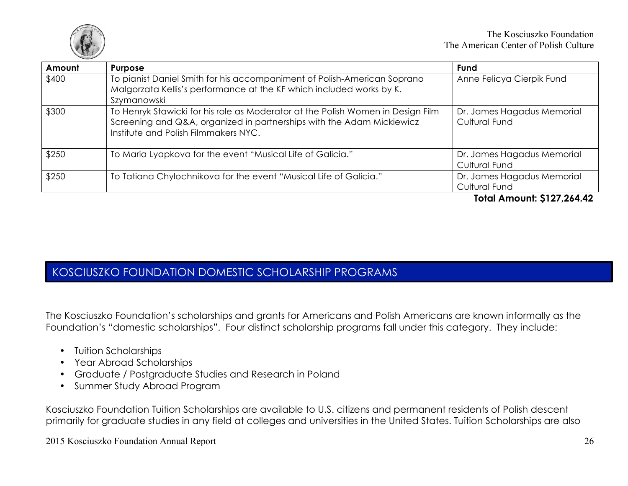

| Amount | <b>Purpose</b>                                                                                                                                                                                   | <b>Fund</b>                                        |
|--------|--------------------------------------------------------------------------------------------------------------------------------------------------------------------------------------------------|----------------------------------------------------|
| \$400  | To pianist Daniel Smith for his accompaniment of Polish-American Soprano<br>Malgorzata Kellis's performance at the KF which included works by K.<br>Szymanowski                                  | Anne Felicya Cierpik Fund                          |
| \$300  | To Henryk Stawicki for his role as Moderator at the Polish Women in Design Film<br>Screening and Q&A, organized in partnerships with the Adam Mickiewicz<br>Institute and Polish Filmmakers NYC. | Dr. James Hagadus Memorial<br><b>Cultural Fund</b> |
| \$250  | To Maria Lyapkova for the event "Musical Life of Galicia."                                                                                                                                       | Dr. James Hagadus Memorial<br><b>Cultural Fund</b> |
| \$250  | To Tatiana Chylochnikova for the event "Musical Life of Galicia."                                                                                                                                | Dr. James Hagadus Memorial<br><b>Cultural Fund</b> |

#### **Total Amount: \$127,264.42**

## KOSCIUSZKO FOUNDATION DOMESTIC SCHOLARSHIP PROGRAMS

The Kosciuszko Foundation's scholarships and grants for Americans and Polish Americans are known informally as the Foundation's "domestic scholarships". Four distinct scholarship programs fall under this category. They include:

- Tuition Scholarships
- Year Abroad Scholarships
- Graduate / Postgraduate Studies and Research in Poland
- Summer Study Abroad Program

Kosciuszko Foundation Tuition Scholarships are available to U.S. citizens and permanent residents of Polish descent primarily for graduate studies in any field at colleges and universities in the United States. Tuition Scholarships are also

2015 Kosciuszko Foundation Annual Report 26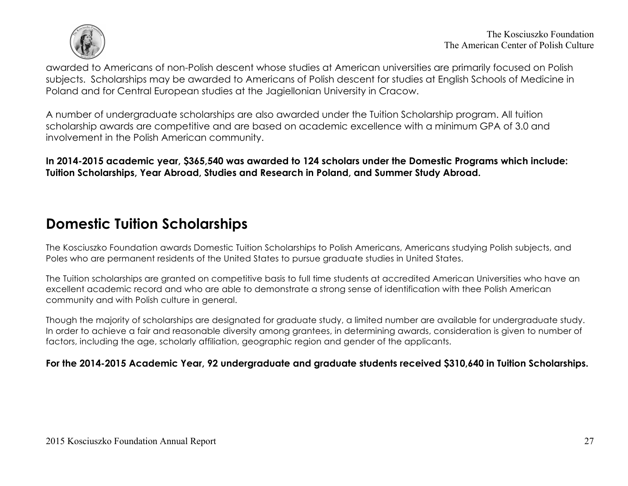

awarded to Americans of non-Polish descent whose studies at American universities are primarily focused on Polish subjects. Scholarships may be awarded to Americans of Polish descent for studies at English Schools of Medicine in Poland and for Central European studies at the Jagiellonian University in Cracow.

A number of undergraduate scholarships are also awarded under the Tuition Scholarship program. All tuition scholarship awards are competitive and are based on academic excellence with a minimum GPA of 3.0 and involvement in the Polish American community.

**In 2014-2015 academic year, \$365,540 was awarded to 124 scholars under the Domestic Programs which include: Tuition Scholarships, Year Abroad, Studies and Research in Poland, and Summer Study Abroad.** 

# **Domestic Tuition Scholarships**

The Kosciuszko Foundation awards Domestic Tuition Scholarships to Polish Americans, Americans studying Polish subjects, and Poles who are permanent residents of the United States to pursue graduate studies in United States.

The Tuition scholarships are granted on competitive basis to full time students at accredited American Universities who have an excellent academic record and who are able to demonstrate a strong sense of identification with thee Polish American community and with Polish culture in general.

Though the majority of scholarships are designated for graduate study, a limited number are available for undergraduate study. In order to achieve a fair and reasonable diversity among grantees, in determining awards, consideration is given to number of factors, including the age, scholarly affiliation, geographic region and gender of the applicants.

**For the 2014-2015 Academic Year, 92 undergraduate and graduate students received \$310,640 in Tuition Scholarships.**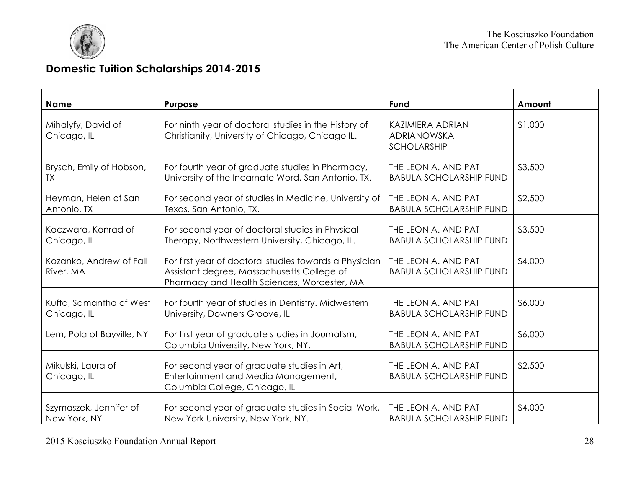

# **Domestic Tuition Scholarships 2014-2015**

| <b>Name</b>                          | Purpose                                                                                                                                             | Fund                                                  | Amount  |
|--------------------------------------|-----------------------------------------------------------------------------------------------------------------------------------------------------|-------------------------------------------------------|---------|
| Mihalyfy, David of<br>Chicago, IL    | For ninth year of doctoral studies in the History of<br>Christianity, University of Chicago, Chicago IL.                                            | <b>KAZIMIERA ADRIAN</b><br>ADRIANOWSKA<br>SCHOLARSHIP | \$1,000 |
| Brysch, Emily of Hobson,             | For fourth year of graduate studies in Pharmacy,                                                                                                    | THE LEON A. AND PAT                                   | \$3,500 |
| <b>TX</b>                            | University of the Incarnate Word, San Antonio, TX.                                                                                                  | <b>BABULA SCHOLARSHIP FUND</b>                        |         |
| Heyman, Helen of San                 | For second year of studies in Medicine, University of                                                                                               | THE LEON A. AND PAT                                   | \$2,500 |
| Antonio, TX                          | Texas, San Antonio, TX.                                                                                                                             | <b>BABULA SCHOLARSHIP FUND</b>                        |         |
| Koczwara, Konrad of                  | For second year of doctoral studies in Physical                                                                                                     | THE LEON A. AND PAT                                   | \$3,500 |
| Chicago, IL                          | Therapy, Northwestern University, Chicago, IL.                                                                                                      | <b>BABULA SCHOLARSHIP FUND</b>                        |         |
| Kozanko, Andrew of Fall<br>River, MA | For first year of doctoral studies towards a Physician<br>Assistant degree, Massachusetts College of<br>Pharmacy and Health Sciences, Worcester, MA | THE LEON A. AND PAT<br><b>BABULA SCHOLARSHIP FUND</b> | \$4,000 |
| Kufta, Samantha of West              | For fourth year of studies in Dentistry. Midwestern                                                                                                 | THE LEON A. AND PAT                                   | \$6,000 |
| Chicago, IL                          | University, Downers Groove, IL                                                                                                                      | <b>BABULA SCHOLARSHIP FUND</b>                        |         |
| Lem, Pola of Bayville, NY            | For first year of graduate studies in Journalism,<br>Columbia University, New York, NY.                                                             | THE LEON A. AND PAT<br><b>BABULA SCHOLARSHIP FUND</b> | \$6,000 |
| Mikulski, Laura of<br>Chicago, IL    | For second year of graduate studies in Art,<br>Entertainment and Media Management,<br>Columbia College, Chicago, IL                                 | THE LEON A. AND PAT<br><b>BABULA SCHOLARSHIP FUND</b> | \$2,500 |
| Szymaszek, Jennifer of               | For second year of graduate studies in Social Work,                                                                                                 | THE LEON A. AND PAT                                   | \$4,000 |
| New York, NY                         | New York University, New York, NY.                                                                                                                  | <b>BABULA SCHOLARSHIP FUND</b>                        |         |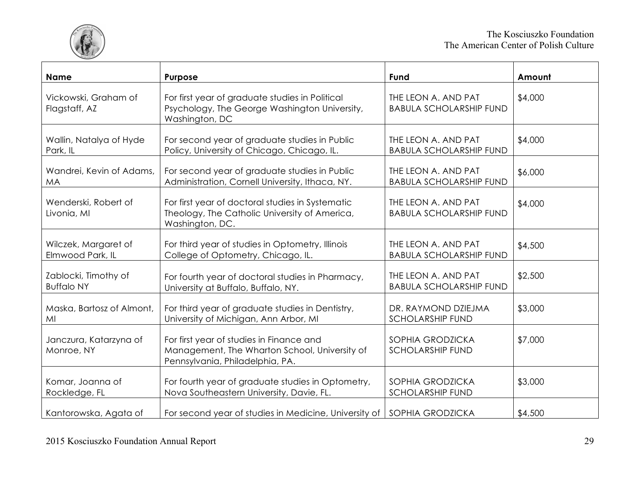

| <b>Name</b>                           | Purpose                                                                                                                      | Fund                                                  | Amount  |
|---------------------------------------|------------------------------------------------------------------------------------------------------------------------------|-------------------------------------------------------|---------|
| Vickowski, Graham of<br>Flagstaff, AZ | For first year of graduate studies in Political<br>Psychology, The George Washington University,<br>Washington, DC           | THE LEON A. AND PAT<br><b>BABULA SCHOLARSHIP FUND</b> | \$4,000 |
| Wallin, Natalya of Hyde               | For second year of graduate studies in Public                                                                                | THE LEON A. AND PAT                                   | \$4,000 |
| Park, IL                              | Policy, University of Chicago, Chicago, IL.                                                                                  | <b>BABULA SCHOLARSHIP FUND</b>                        |         |
| Wandrei, Kevin of Adams,              | For second year of graduate studies in Public                                                                                | THE LEON A. AND PAT                                   | \$6,000 |
| <b>MA</b>                             | Administration, Cornell University, Ithaca, NY.                                                                              | <b>BABULA SCHOLARSHIP FUND</b>                        |         |
| Wenderski, Robert of<br>Livonia, MI   | For first year of doctoral studies in Systematic<br>Theology, The Catholic University of America,<br>Washington, DC.         | THE LEON A. AND PAT<br><b>BABULA SCHOLARSHIP FUND</b> | \$4,000 |
| Wilczek, Margaret of                  | For third year of studies in Optometry, Illinois                                                                             | THE LEON A. AND PAT                                   | \$4,500 |
| Elmwood Park, IL                      | College of Optometry, Chicago, IL.                                                                                           | <b>BABULA SCHOLARSHIP FUND</b>                        |         |
| Zablocki, Timothy of                  | For fourth year of doctoral studies in Pharmacy,                                                                             | THE LEON A. AND PAT                                   | \$2,500 |
| <b>Buffalo NY</b>                     | University at Buffalo, Buffalo, NY.                                                                                          | <b>BABULA SCHOLARSHIP FUND</b>                        |         |
| Maska, Bartosz of Almont,             | For third year of graduate studies in Dentistry,                                                                             | DR. RAYMOND DZIEJMA                                   | \$3,000 |
| MI                                    | University of Michigan, Ann Arbor, MI                                                                                        | <b>SCHOLARSHIP FUND</b>                               |         |
| Janczura, Katarzyna of<br>Monroe, NY  | For first year of studies in Finance and<br>Management, The Wharton School, University of<br>Pennsylvania, Philadelphia, PA. | SOPHIA GRODZICKA<br><b>SCHOLARSHIP FUND</b>           | \$7,000 |
| Komar, Joanna of                      | For fourth year of graduate studies in Optometry,                                                                            | SOPHIA GRODZICKA                                      | \$3,000 |
| Rockledge, FL                         | Nova Southeastern University, Davie, FL.                                                                                     | <b>SCHOLARSHIP FUND</b>                               |         |
| Kantorowska, Agata of                 | For second year of studies in Medicine, University of SOPHIA GRODZICKA                                                       |                                                       | \$4,500 |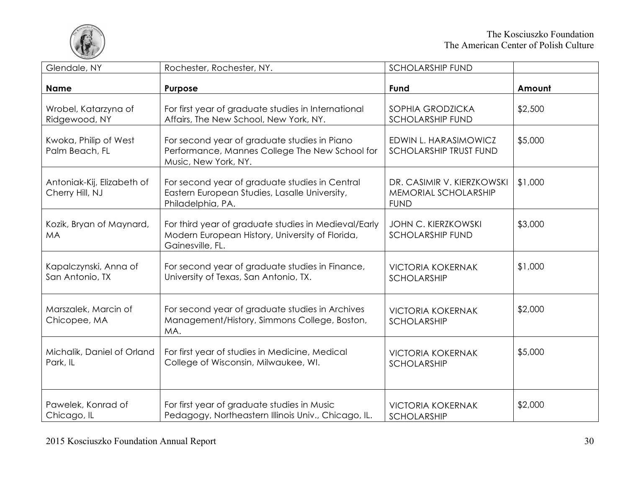

| Glendale, NY                                  | Rochester, Rochester, NY.                                                                                                   | <b>SCHOLARSHIP FUND</b>                                           |         |
|-----------------------------------------------|-----------------------------------------------------------------------------------------------------------------------------|-------------------------------------------------------------------|---------|
| <b>Name</b>                                   | Purpose                                                                                                                     | Fund                                                              | Amount  |
| Wrobel, Katarzyna of<br>Ridgewood, NY         | For first year of graduate studies in International<br>Affairs, The New School, New York, NY.                               | SOPHIA GRODZICKA<br><b>SCHOLARSHIP FUND</b>                       | \$2,500 |
| Kwoka, Philip of West<br>Palm Beach, FL       | For second year of graduate studies in Piano<br>Performance, Mannes College The New School for<br>Music, New York, NY.      | EDWIN L. HARASIMOWICZ<br><b>SCHOLARSHIP TRUST FUND</b>            | \$5,000 |
| Antoniak-Kij, Elizabeth of<br>Cherry Hill, NJ | For second year of graduate studies in Central<br>Eastern European Studies, Lasalle University,<br>Philadelphia, PA.        | DR. CASIMIR V. KIERZKOWSKI<br>MEMORIAL SCHOLARSHIP<br><b>FUND</b> | \$1,000 |
| Kozik, Bryan of Maynard,<br><b>MA</b>         | For third year of graduate studies in Medieval/Early<br>Modern European History, University of Florida,<br>Gainesville, FL. | <b>JOHN C. KIERZKOWSKI</b><br><b>SCHOLARSHIP FUND</b>             | \$3,000 |
| Kapalczynski, Anna of<br>San Antonio, TX      | For second year of graduate studies in Finance,<br>University of Texas, San Antonio, TX.                                    | <b>VICTORIA KOKERNAK</b><br><b>SCHOLARSHIP</b>                    | \$1,000 |
| Marszalek, Marcin of<br>Chicopee, MA          | For second year of graduate studies in Archives<br>Management/History, Simmons College, Boston,<br>MA.                      | <b>VICTORIA KOKERNAK</b><br><b>SCHOLARSHIP</b>                    | \$2,000 |
| Michalik, Daniel of Orland<br>Park, IL        | For first year of studies in Medicine, Medical<br>College of Wisconsin, Milwaukee, WI.                                      | <b>VICTORIA KOKERNAK</b><br><b>SCHOLARSHIP</b>                    | \$5,000 |
| Pawelek, Konrad of<br>Chicago, IL             | For first year of graduate studies in Music<br>Pedagogy, Northeastern Illinois Univ., Chicago, IL.                          | <b>VICTORIA KOKERNAK</b><br><b>SCHOLARSHIP</b>                    | \$2,000 |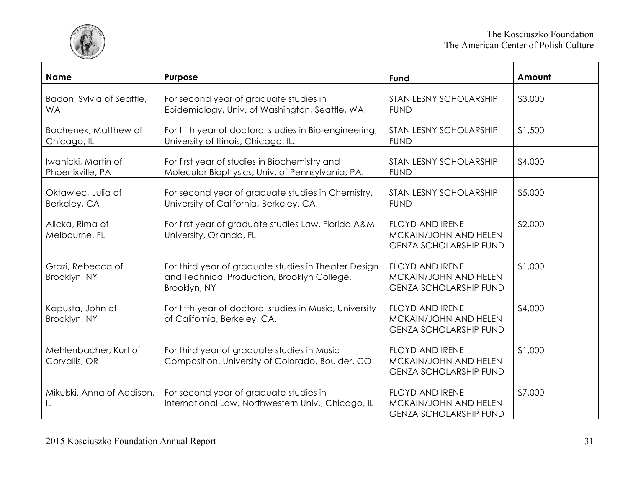

| <b>Name</b>                             | Purpose                                                                                                             | Fund                                                                             | Amount  |
|-----------------------------------------|---------------------------------------------------------------------------------------------------------------------|----------------------------------------------------------------------------------|---------|
| Badon, Sylvia of Seattle,<br><b>WA</b>  | For second year of graduate studies in<br>Epidemiology, Univ. of Washington, Seattle, WA                            | STAN LESNY SCHOLARSHIP<br><b>FUND</b>                                            | \$3,000 |
| Bochenek, Matthew of<br>Chicago, IL     | For fifth year of doctoral studies in Bio-engineering,<br>University of Illinois, Chicago, IL.                      | STAN LESNY SCHOLARSHIP<br><b>FUND</b>                                            | \$1,500 |
| Iwanicki, Martin of<br>Phoenixville, PA | For first year of studies in Biochemistry and<br>Molecular Biophysics, Univ. of Pennsylvania, PA.                   | STAN LESNY SCHOLARSHIP<br><b>FUND</b>                                            | \$4,000 |
| Oktawiec, Julia of<br>Berkeley, CA      | For second year of graduate studies in Chemistry,<br>University of California, Berkeley, CA.                        | STAN LESNY SCHOLARSHIP<br><b>FUND</b>                                            | \$5,000 |
| Alicka, Rima of<br>Melbourne, FL        | For first year of graduate studies Law, Florida A&M<br>University, Orlando, FL                                      | <b>FLOYD AND IRENE</b><br>MCKAIN/JOHN AND HELEN<br><b>GENZA SCHOLARSHIP FUND</b> | \$2,000 |
| Grazi, Rebecca of<br>Brooklyn, NY       | For third year of graduate studies in Theater Design<br>and Technical Production, Brooklyn College,<br>Brooklyn, NY | <b>FLOYD AND IRENE</b><br>MCKAIN/JOHN AND HELEN<br><b>GENZA SCHOLARSHIP FUND</b> | \$1,000 |
| Kapusta, John of<br>Brooklyn, NY        | For fifth year of doctoral studies in Music, University<br>of California, Berkeley, CA.                             | FLOYD AND IRENE<br>MCKAIN/JOHN AND HELEN<br><b>GENZA SCHOLARSHIP FUND</b>        | \$4,000 |
| Mehlenbacher, Kurt of<br>Corvallis, OR  | For third year of graduate studies in Music<br>Composition, University of Colorado, Boulder, CO                     | FLOYD AND IRENE<br>MCKAIN/JOHN AND HELEN<br><b>GENZA SCHOLARSHIP FUND</b>        | \$1,000 |
| Mikulski, Anna of Addison,<br>IL.       | For second year of graduate studies in<br>International Law, Northwestern Univ., Chicago, IL                        | <b>FLOYD AND IRENE</b><br>MCKAIN/JOHN AND HELEN<br><b>GENZA SCHOLARSHIP FUND</b> | \$7,000 |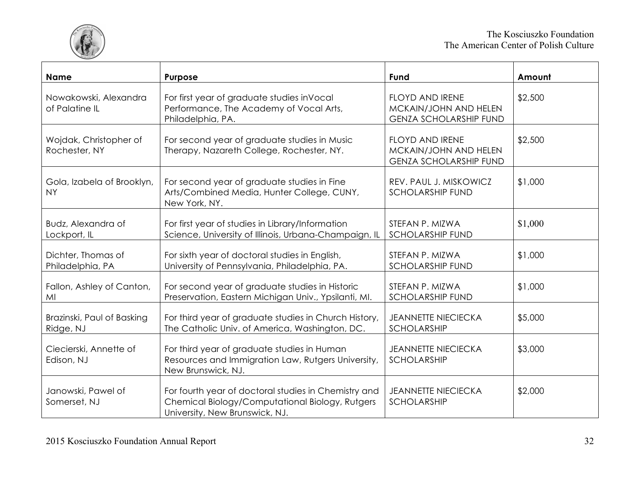

| <b>Name</b>                             | Purpose                                                                                                                                   | Fund                                                                             | Amount  |
|-----------------------------------------|-------------------------------------------------------------------------------------------------------------------------------------------|----------------------------------------------------------------------------------|---------|
| Nowakowski, Alexandra<br>of Palatine IL | For first year of graduate studies inVocal<br>Performance, The Academy of Vocal Arts,<br>Philadelphia, PA.                                | FLOYD AND IRENE<br>MCKAIN/JOHN AND HELEN<br><b>GENZA SCHOLARSHIP FUND</b>        | \$2,500 |
| Wojdak, Christopher of<br>Rochester, NY | For second year of graduate studies in Music<br>Therapy, Nazareth College, Rochester, NY.                                                 | <b>FLOYD AND IRENE</b><br>MCKAIN/JOHN AND HELEN<br><b>GENZA SCHOLARSHIP FUND</b> | \$2,500 |
| Gola, Izabela of Brooklyn,<br><b>NY</b> | For second year of graduate studies in Fine<br>Arts/Combined Media, Hunter College, CUNY,<br>New York, NY.                                | REV. PAUL J. MISKOWICZ<br><b>SCHOLARSHIP FUND</b>                                | \$1,000 |
| Budz, Alexandra of<br>Lockport, IL      | For first year of studies in Library/Information<br>Science, University of Illinois, Urbana-Champaign, IL                                 | STEFAN P. MIZWA<br><b>SCHOLARSHIP FUND</b>                                       | \$1,000 |
| Dichter, Thomas of<br>Philadelphia, PA  | For sixth year of doctoral studies in English,<br>University of Pennsylvania, Philadelphia, PA.                                           | STEFAN P. MIZWA<br><b>SCHOLARSHIP FUND</b>                                       | \$1,000 |
| Fallon, Ashley of Canton,<br>MI         | For second year of graduate studies in Historic<br>Preservation, Eastern Michigan Univ., Ypsilanti, MI.                                   | STEFAN P. MIZWA<br><b>SCHOLARSHIP FUND</b>                                       | \$1,000 |
| Brazinski, Paul of Basking<br>Ridge, NJ | For third year of graduate studies in Church History,<br>The Catholic Univ. of America, Washington, DC.                                   | <b>JEANNETTE NIECIECKA</b><br>SCHOLARSHIP                                        | \$5,000 |
| Ciecierski, Annette of<br>Edison, NJ    | For third year of graduate studies in Human<br>Resources and Immigration Law, Rutgers University,<br>New Brunswick, NJ.                   | <b>JEANNETTE NIECIECKA</b><br>SCHOLARSHIP                                        | \$3,000 |
| Janowski, Pawel of<br>Somerset, NJ      | For fourth year of doctoral studies in Chemistry and<br>Chemical Biology/Computational Biology, Rutgers<br>University, New Brunswick, NJ. | <b>JEANNETTE NIECIECKA</b><br>SCHOLARSHIP                                        | \$2,000 |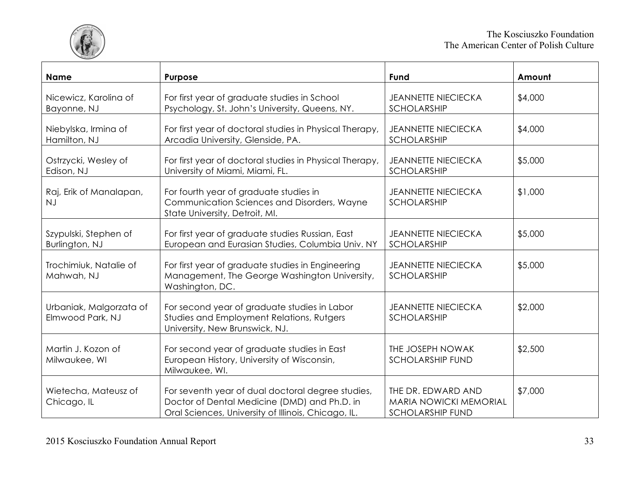

| <b>Name</b>                                 | <b>Purpose</b>                                                                                                                                           | Fund                                                                    | Amount  |
|---------------------------------------------|----------------------------------------------------------------------------------------------------------------------------------------------------------|-------------------------------------------------------------------------|---------|
| Nicewicz, Karolina of<br>Bayonne, NJ        | For first year of graduate studies in School<br>Psychology, St. John's University, Queens, NY.                                                           | <b>JEANNETTE NIECIECKA</b><br>SCHOLARSHIP                               | \$4,000 |
| Niebylska, Irmina of<br>Hamilton, NJ        | For first year of doctoral studies in Physical Therapy,<br>Arcadia University, Glenside, PA.                                                             | <b>JEANNETTE NIECIECKA</b><br>SCHOLARSHIP                               | \$4,000 |
| Ostrzycki, Wesley of<br>Edison, NJ          | For first year of doctoral studies in Physical Therapy,<br>University of Miami, Miami, FL.                                                               | <b>JEANNETTE NIECIECKA</b><br>SCHOLARSHIP                               | \$5,000 |
| Raj, Erik of Manalapan,<br>NJ               | For fourth year of graduate studies in<br>Communication Sciences and Disorders, Wayne<br>State University, Detroit, MI.                                  | <b>JEANNETTE NIECIECKA</b><br>SCHOLARSHIP                               | \$1,000 |
| Szypulski, Stephen of<br>Burlington, NJ     | For first year of graduate studies Russian, East<br>European and Eurasian Studies, Columbia Univ. NY                                                     | <b>JEANNETTE NIECIECKA</b><br>SCHOLARSHIP                               | \$5,000 |
| Trochimiuk, Natalie of<br>Mahwah, NJ        | For first year of graduate studies in Engineering<br>Management, The George Washington University,<br>Washington, DC.                                    | <b>JEANNETTE NIECIECKA</b><br>SCHOLARSHIP                               | \$5,000 |
| Urbaniak, Malgorzata of<br>Elmwood Park, NJ | For second year of graduate studies in Labor<br>Studies and Employment Relations, Rutgers<br>University, New Brunswick, NJ.                              | <b>JEANNETTE NIECIECKA</b><br>SCHOLARSHIP                               | \$2,000 |
| Martin J. Kozon of<br>Milwaukee, WI         | For second year of graduate studies in East<br>European History, University of Wisconsin,<br>Milwaukee, Wl.                                              | THE JOSEPH NOWAK<br><b>SCHOLARSHIP FUND</b>                             | \$2,500 |
| Wietecha, Mateusz of<br>Chicago, IL         | For seventh year of dual doctoral degree studies,<br>Doctor of Dental Medicine (DMD) and Ph.D. in<br>Oral Sciences, University of Illinois, Chicago, IL. | THE DR. EDWARD AND<br>MARIA NOWICKI MEMORIAL<br><b>SCHOLARSHIP FUND</b> | \$7,000 |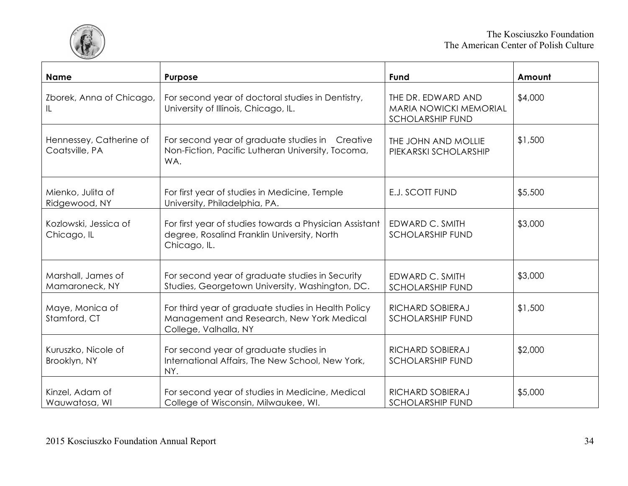

| <b>Name</b>                               | Purpose                                                                                                                   | Fund                                                                           | Amount  |
|-------------------------------------------|---------------------------------------------------------------------------------------------------------------------------|--------------------------------------------------------------------------------|---------|
| Zborek, Anna of Chicago,<br>IL.           | For second year of doctoral studies in Dentistry,<br>University of Illinois, Chicago, IL.                                 | THE DR. EDWARD AND<br><b>MARIA NOWICKI MEMORIAL</b><br><b>SCHOLARSHIP FUND</b> | \$4,000 |
| Hennessey, Catherine of<br>Coatsville, PA | For second year of graduate studies in Creative<br>Non-Fiction, Pacific Lutheran University, Tocoma,<br>WA.               | THE JOHN AND MOLLIE<br>PIEKARSKI SCHOLARSHIP                                   | \$1,500 |
| Mienko, Julita of<br>Ridgewood, NY        | For first year of studies in Medicine, Temple<br>University, Philadelphia, PA.                                            | <b>E.J. SCOTT FUND</b>                                                         | \$5,500 |
| Kozlowski, Jessica of<br>Chicago, IL      | For first year of studies towards a Physician Assistant<br>degree, Rosalind Franklin University, North<br>Chicago, IL.    | EDWARD C. SMITH<br><b>SCHOLARSHIP FUND</b>                                     | \$3,000 |
| Marshall, James of<br>Mamaroneck, NY      | For second year of graduate studies in Security<br>Studies, Georgetown University, Washington, DC.                        | EDWARD C. SMITH<br><b>SCHOLARSHIP FUND</b>                                     | \$3,000 |
| Maye, Monica of<br>Stamford, CT           | For third year of graduate studies in Health Policy<br>Management and Research, New York Medical<br>College, Valhalla, NY | RICHARD SOBIERAJ<br><b>SCHOLARSHIP FUND</b>                                    | \$1,500 |
| Kuruszko, Nicole of<br>Brooklyn, NY       | For second year of graduate studies in<br>International Affairs, The New School, New York,<br>NY.                         | RICHARD SOBIERAJ<br><b>SCHOLARSHIP FUND</b>                                    | \$2,000 |
| Kinzel, Adam of<br>Wauwatosa, WI          | For second year of studies in Medicine, Medical<br>College of Wisconsin, Milwaukee, WI.                                   | RICHARD SOBIERAJ<br><b>SCHOLARSHIP FUND</b>                                    | \$5,000 |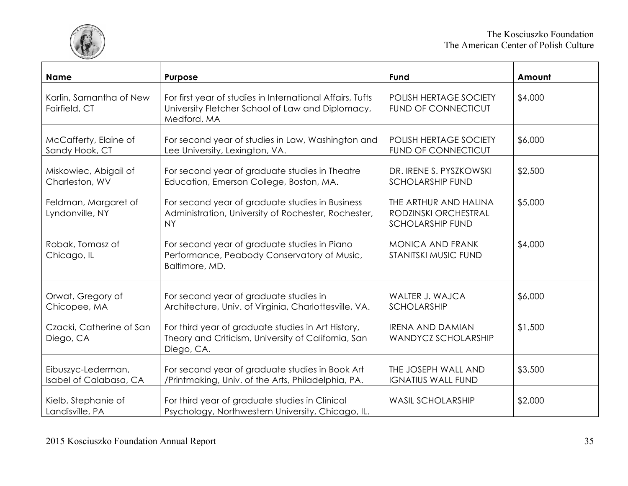

| <b>Name</b>                                  | Purpose                                                                                                                      | Fund                                                                     | Amount  |
|----------------------------------------------|------------------------------------------------------------------------------------------------------------------------------|--------------------------------------------------------------------------|---------|
| Karlin, Samantha of New<br>Fairfield, CT     | For first year of studies in International Affairs, Tufts<br>University Fletcher School of Law and Diplomacy,<br>Medford, MA | POLISH HERTAGE SOCIETY<br><b>FUND OF CONNECTICUT</b>                     | \$4,000 |
| McCafferty, Elaine of<br>Sandy Hook, CT      | For second year of studies in Law, Washington and<br>Lee University, Lexington, VA.                                          | POLISH HERTAGE SOCIETY<br>FUND OF CONNECTICUT                            | \$6,000 |
| Miskowiec, Abigail of<br>Charleston, WV      | For second year of graduate studies in Theatre<br>Education, Emerson College, Boston, MA.                                    | DR. IRENE S. PYSZKOWSKI<br><b>SCHOLARSHIP FUND</b>                       | \$2,500 |
| Feldman, Margaret of<br>Lyndonville, NY      | For second year of graduate studies in Business<br>Administration, University of Rochester, Rochester,<br><b>NY</b>          | THE ARTHUR AND HALINA<br>RODZINSKI ORCHESTRAL<br><b>SCHOLARSHIP FUND</b> | \$5,000 |
| Robak, Tomasz of<br>Chicago, IL              | For second year of graduate studies in Piano<br>Performance, Peabody Conservatory of Music,<br>Baltimore, MD.                | MONICA AND FRANK<br>STANITSKI MUSIC FUND                                 | \$4,000 |
| Orwat, Gregory of<br>Chicopee, MA            | For second year of graduate studies in<br>Architecture, Univ. of Virginia, Charlottesville, VA.                              | WALTER J. WAJCA<br>SCHOLARSHIP                                           | \$6,000 |
| Czacki, Catherine of San<br>Diego, CA        | For third year of graduate studies in Art History,<br>Theory and Criticism, University of California, San<br>Diego, CA.      | <b>IRENA AND DAMIAN</b><br>WANDYCZ SCHOLARSHIP                           | \$1,500 |
| Eibuszyc-Lederman,<br>Isabel of Calabasa, CA | For second year of graduate studies in Book Art<br>/Printmaking, Univ. of the Arts, Philadelphia, PA.                        | THE JOSEPH WALL AND<br><b>IGNATIUS WALL FUND</b>                         | \$3,500 |
| Kielb, Stephanie of<br>Landisville, PA       | For third year of graduate studies in Clinical<br>Psychology, Northwestern University, Chicago, IL.                          | <b>WASIL SCHOLARSHIP</b>                                                 | \$2,000 |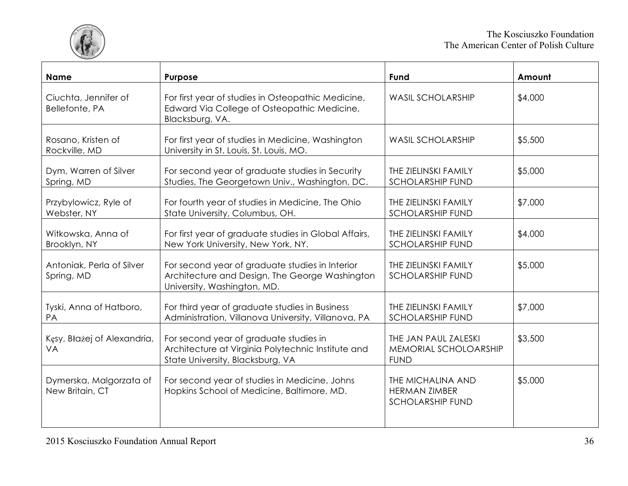

| <b>Name</b>                                | Purpose                                                                                                                          | Fund                                                                 | Amount  |
|--------------------------------------------|----------------------------------------------------------------------------------------------------------------------------------|----------------------------------------------------------------------|---------|
| Ciuchta, Jennifer of<br>Bellefonte, PA     | For first year of studies in Osteopathic Medicine,<br>Edward Via College of Osteopathic Medicine,<br>Blacksburg, VA.             | <b>WASIL SCHOLARSHIP</b>                                             | \$4,000 |
| Rosano, Kristen of<br>Rockville, MD        | For first year of studies in Medicine, Washington<br>University in St. Louis, St. Louis, MO.                                     | <b>WASIL SCHOLARSHIP</b>                                             | \$5,500 |
| Dym, Warren of Silver<br>Spring, MD        | For second year of graduate studies in Security<br>Studies, The Georgetown Univ., Washington, DC.                                | THE ZIELINSKI FAMILY<br><b>SCHOLARSHIP FUND</b>                      | \$5,000 |
| Przybylowicz, Ryle of<br>Webster, NY       | For fourth year of studies in Medicine, The Ohio<br>State University, Columbus, OH.                                              | THE ZIELINSKI FAMILY<br><b>SCHOLARSHIP FUND</b>                      | \$7,000 |
| Witkowska, Anna of<br>Brooklyn, NY         | For first year of graduate studies in Global Affairs,<br>New York University, New York, NY.                                      | THE ZIELINSKI FAMILY<br><b>SCHOLARSHIP FUND</b>                      | \$4,000 |
| Antoniak, Perla of Silver<br>Spring, MD    | For second year of graduate studies in Interior<br>Architecture and Design, The George Washington<br>University, Washington, MD. | THE ZIELINSKI FAMILY<br><b>SCHOLARSHIP FUND</b>                      | \$5,000 |
| Tyski, Anna of Hatboro,<br>PA              | For third year of graduate studies in Business<br>Administration, Villanova University, Villanova, PA                            | THE ZIELINSKI FAMILY<br><b>SCHOLARSHIP FUND</b>                      | \$7,000 |
| Kęsy, Błażej of Alexandria,<br>VA          | For second year of graduate studies in<br>Architecture at Virginia Polytechnic Institute and<br>State University, Blacksburg, VA | THE JAN PAUL ZALESKI<br>MEMORIAL SCHOLOARSHIP<br><b>FUND</b>         | \$3,500 |
| Dymerska, Malgorzata of<br>New Britain, CT | For second year of studies in Medicine, Johns<br>Hopkins School of Medicine, Baltimore, MD.                                      | THE MICHALINA AND<br><b>HERMAN ZIMBER</b><br><b>SCHOLARSHIP FUND</b> | \$5,000 |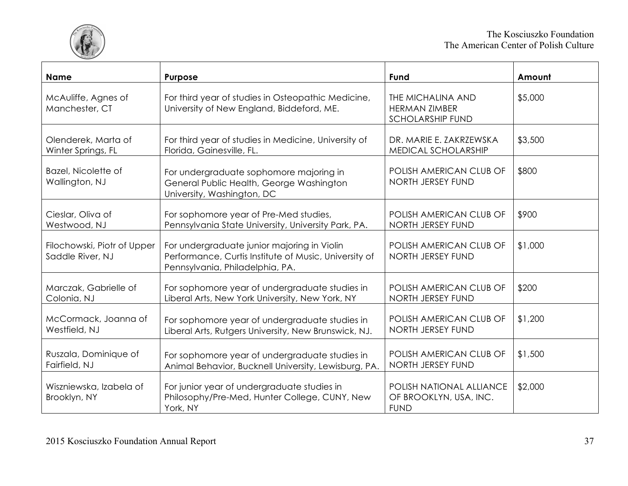

| <b>Name</b>                                     | Purpose                                                                                                                                 | Fund                                                                 | Amount  |
|-------------------------------------------------|-----------------------------------------------------------------------------------------------------------------------------------------|----------------------------------------------------------------------|---------|
| McAuliffe, Agnes of<br>Manchester, CT           | For third year of studies in Osteopathic Medicine,<br>University of New England, Biddeford, ME.                                         | THE MICHALINA AND<br><b>HERMAN ZIMBER</b><br><b>SCHOLARSHIP FUND</b> | \$5,000 |
| Olenderek, Marta of                             | For third year of studies in Medicine, University of                                                                                    | DR. MARIE E. ZAKRZEWSKA                                              | \$3,500 |
| Winter Springs, FL                              | Florida, Gainesville, FL.                                                                                                               | MEDICAL SCHOLARSHIP                                                  |         |
| Bazel, Nicolette of<br>Wallington, NJ           | For undergraduate sophomore majoring in<br>General Public Health, George Washington<br>University, Washington, DC                       | POLISH AMERICAN CLUB OF<br>NORTH JERSEY FUND                         | \$800   |
| Cieslar, Oliva of                               | For sophomore year of Pre-Med studies,                                                                                                  | POLISH AMERICAN CLUB OF                                              | \$900   |
| Westwood, NJ                                    | Pennsylvania State University, University Park, PA.                                                                                     | NORTH JERSEY FUND                                                    |         |
| Filochowski, Piotr of Upper<br>Saddle River, NJ | For undergraduate junior majoring in Violin<br>Performance, Curtis Institute of Music, University of<br>Pennsylvania, Philadelphia, PA. | POLISH AMERICAN CLUB OF<br>NORTH JERSEY FUND                         | \$1,000 |
| Marczak, Gabrielle of                           | For sophomore year of undergraduate studies in                                                                                          | POLISH AMERICAN CLUB OF                                              | \$200   |
| Colonia, NJ                                     | Liberal Arts, New York University, New York, NY                                                                                         | NORTH JERSEY FUND                                                    |         |
| McCormack, Joanna of                            | For sophomore year of undergraduate studies in                                                                                          | POLISH AMERICAN CLUB OF                                              | \$1,200 |
| Westfield, NJ                                   | Liberal Arts, Rutgers University, New Brunswick, NJ.                                                                                    | NORTH JERSEY FUND                                                    |         |
| Ruszala, Dominique of                           | For sophomore year of undergraduate studies in                                                                                          | POLISH AMERICAN CLUB OF                                              | \$1,500 |
| Fairfield, NJ                                   | Animal Behavior, Bucknell University, Lewisburg, PA.                                                                                    | NORTH JERSEY FUND                                                    |         |
| Wiszniewska, Izabela of<br>Brooklyn, NY         | For junior year of undergraduate studies in<br>Philosophy/Pre-Med, Hunter College, CUNY, New<br>York, NY                                | POLISH NATIONAL ALLIANCE<br>OF BROOKLYN, USA, INC.<br><b>FUND</b>    | \$2,000 |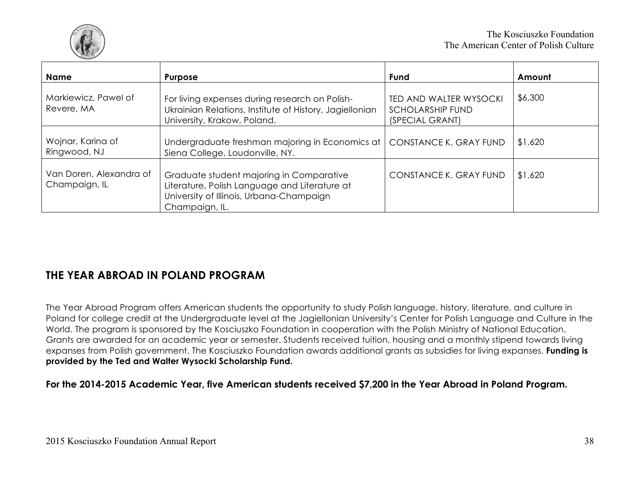

| <b>Name</b>                              | <b>Purpose</b>                                                                                                                                          | Fund                                                                        | Amount  |
|------------------------------------------|---------------------------------------------------------------------------------------------------------------------------------------------------------|-----------------------------------------------------------------------------|---------|
| Markiewicz, Pawel of<br>Revere, MA       | For living expenses during research on Polish-<br>Ukrainian Relations, Institute of History, Jagiellonian<br>University, Krakow, Poland.                | <b>TED AND WALTER WYSOCKI</b><br><b>SCHOLARSHIP FUND</b><br>(SPECIAL GRANT) | \$6,300 |
| Wojnar, Karina of<br>Ringwood, NJ        | Undergraduate freshman majoring in Economics at<br>Siena College, Loudonville, NY.                                                                      | CONSTANCE K. GRAY FUND                                                      | \$1,620 |
| Van Doren, Alexandra of<br>Champaign, IL | Graduate student majoring in Comparative<br>Literature, Polish Language and Literature at<br>University of Illinois, Urbana-Champaign<br>Champaign, IL. | CONSTANCE K. GRAY FUND                                                      | \$1,620 |

## **THE YEAR ABROAD IN POLAND PROGRAM**

The Year Abroad Program offers American students the opportunity to study Polish language, history, literature, and culture in Poland for college credit at the Undergraduate level at the Jagiellonian University's Center for Polish Language and Culture in the World. The program is sponsored by the Kosciuszko Foundation in cooperation with the Polish Ministry of National Education. Grants are awarded for an academic year or semester. Students received tuition, housing and a monthly stipend towards living expanses from Polish government. The Kosciuszko Foundation awards additional grants as subsidies for living expanses. **Funding is provided by the Ted and Walter Wysocki Scholarship Fund.** 

**For the 2014-2015 Academic Year, five American students received \$7,200 in the Year Abroad in Poland Program.**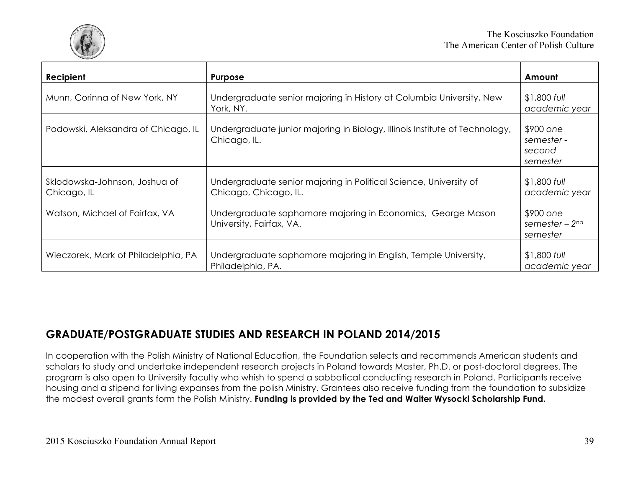

| Recipient                                    | <b>Purpose</b>                                                                              | Amount                                        |
|----------------------------------------------|---------------------------------------------------------------------------------------------|-----------------------------------------------|
| Munn, Corinna of New York, NY                | Undergraduate senior majoring in History at Columbia University, New<br>York, NY.           | $$1,800$ full<br>academic year                |
| Podowski, Aleksandra of Chicago, IL          | Undergraduate junior majoring in Biology, Illinois Institute of Technology,<br>Chicago, IL. | \$900 one<br>semester -<br>second<br>semester |
| Sklodowska-Johnson, Joshua of<br>Chicago, IL | Undergraduate senior majoring in Political Science, University of<br>Chicago, Chicago, IL.  | $$1,800$ full<br>academic year                |
| Watson, Michael of Fairfax, VA               | Undergraduate sophomore majoring in Economics, George Mason<br>University, Fairfax, VA.     | \$900 one<br>semester – $2nd$<br>semester     |
| Wieczorek, Mark of Philadelphia, PA          | Undergraduate sophomore majoring in English, Temple University,<br>Philadelphia, PA.        | $$1,800$ full<br>academic year                |

## **GRADUATE/POSTGRADUATE STUDIES AND RESEARCH IN POLAND 2014/2015**

In cooperation with the Polish Ministry of National Education, the Foundation selects and recommends American students and scholars to study and undertake independent research projects in Poland towards Master, Ph.D. or post-doctoral degrees. The program is also open to University faculty who whish to spend a sabbatical conducting research in Poland. Participants receive housing and a stipend for living expanses from the polish Ministry. Grantees also receive funding from the foundation to subsidize the modest overall grants form the Polish Ministry. **Funding is provided by the Ted and Walter Wysocki Scholarship Fund.**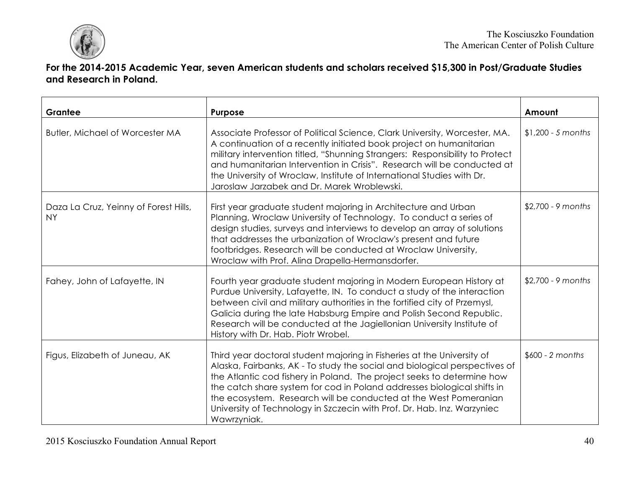

#### **For the 2014-2015 Academic Year, seven American students and scholars received \$15,300 in Post/Graduate Studies and Research in Poland.**

| Grantee                                            | <b>Purpose</b>                                                                                                                                                                                                                                                                                                                                                                                                                                                          | Amount              |
|----------------------------------------------------|-------------------------------------------------------------------------------------------------------------------------------------------------------------------------------------------------------------------------------------------------------------------------------------------------------------------------------------------------------------------------------------------------------------------------------------------------------------------------|---------------------|
| <b>Butler, Michael of Worcester MA</b>             | Associate Professor of Political Science, Clark University, Worcester, MA.<br>A continuation of a recently initiated book project on humanitarian<br>military intervention titled, "Shunning Strangers: Responsibility to Protect<br>and humanitarian Intervention in Crisis". Research will be conducted at<br>the University of Wroclaw, Institute of International Studies with Dr.<br>Jaroslaw Jarzabek and Dr. Marek Wroblewski.                                   | $$1,200 - 5$ months |
| Daza La Cruz, Yeinny of Forest Hills,<br><b>NY</b> | First year graduate student majoring in Architecture and Urban<br>Planning, Wroclaw University of Technology. To conduct a series of<br>design studies, surveys and interviews to develop an array of solutions<br>that addresses the urbanization of Wroclaw's present and future<br>footbridges. Research will be conducted at Wroclaw University,<br>Wroclaw with Prof. Alina Drapella-Hermansdorfer.                                                                | $$2,700 - 9$ months |
| Fahey, John of Lafayette, IN                       | Fourth year graduate student majoring in Modern European History at<br>Purdue University, Lafayette, IN. To conduct a study of the interaction<br>between civil and military authorities in the fortified city of Przemysl,<br>Galicia during the late Habsburg Empire and Polish Second Republic.<br>Research will be conducted at the Jagiellonian University Institute of<br>History with Dr. Hab. Piotr Wrobel.                                                     | $$2,700 - 9$ months |
| Figus, Elizabeth of Juneau, AK                     | Third year doctoral student majoring in Fisheries at the University of<br>Alaska, Fairbanks, AK - To study the social and biological perspectives of<br>the Atlantic cod fishery in Poland. The project seeks to determine how<br>the catch share system for cod in Poland addresses biological shifts in<br>the ecosystem. Research will be conducted at the West Pomeranian<br>University of Technology in Szczecin with Prof. Dr. Hab. Inz. Warzyniec<br>Wawrzyniak. | $$600 - 2 months$   |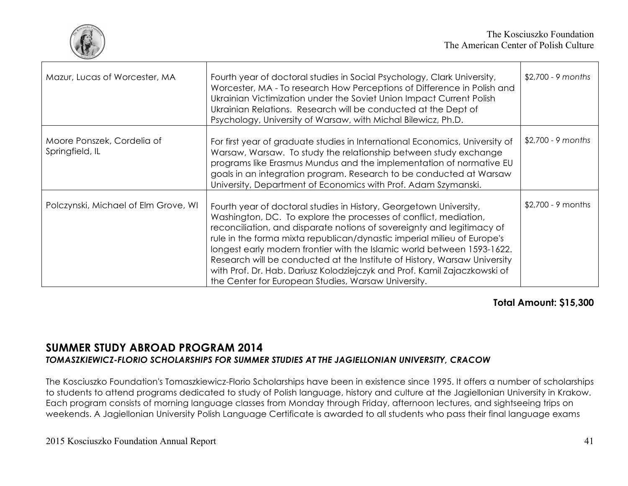

| Mazur, Lucas of Worcester, MA                 | Fourth year of doctoral studies in Social Psychology, Clark University,<br>Worcester, MA - To research How Perceptions of Difference in Polish and<br>Ukrainian Victimization under the Soviet Union Impact Current Polish<br>Ukrainian Relations. Research will be conducted at the Dept of<br>Psychology, University of Warsaw, with Michal Bilewicz, Ph.D.                                                                                                                                                                                                                           | $$2,700 - 9$ months |
|-----------------------------------------------|-----------------------------------------------------------------------------------------------------------------------------------------------------------------------------------------------------------------------------------------------------------------------------------------------------------------------------------------------------------------------------------------------------------------------------------------------------------------------------------------------------------------------------------------------------------------------------------------|---------------------|
| Moore Ponszek, Cordelia of<br>Springfield, IL | For first year of graduate studies in International Economics, University of<br>Warsaw, Warsaw. To study the relationship between study exchange<br>programs like Erasmus Mundus and the implementation of normative EU<br>goals in an integration program. Research to be conducted at Warsaw<br>University, Department of Economics with Prof. Adam Szymanski.                                                                                                                                                                                                                        | $$2,700 - 9$ months |
| Polczynski, Michael of Elm Grove, WI          | Fourth year of doctoral studies in History, Georgetown University,<br>Washington, DC. To explore the processes of conflict, mediation,<br>reconciliation, and disparate notions of sovereignty and legitimacy of<br>rule in the forma mixta republican/dynastic imperial milieu of Europe's<br>longest early modern frontier with the Islamic world between 1593-1622.<br>Research will be conducted at the Institute of History, Warsaw University<br>with Prof. Dr. Hab. Dariusz Kolodziejczyk and Prof. Kamil Zajaczkowski of<br>the Center for European Studies, Warsaw University. | $$2,700 - 9$ months |

#### **Total Amount: \$15,300**

#### **SUMMER STUDY ABROAD PROGRAM 2014** *TOMASZKIEWICZ-FLORIO SCHOLARSHIPS FOR SUMMER STUDIES AT THE JAGIELLONIAN UNIVERSITY, CRACOW*

The Kosciuszko Foundation's Tomaszkiewicz-Florio Scholarships have been in existence since 1995. It offers a number of scholarships to students to attend programs dedicated to study of Polish language, history and culture at the Jagiellonian University in Krakow. Each program consists of morning language classes from Monday through Friday, afternoon lectures, and sightseeing trips on weekends. A Jagiellonian University Polish Language Certificate is awarded to all students who pass their final language exams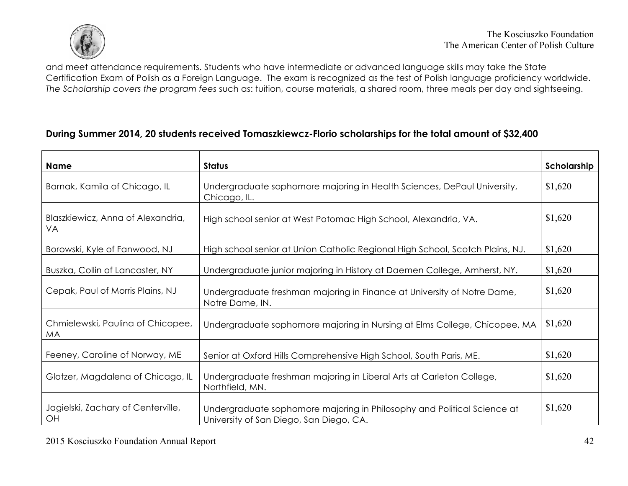

and meet attendance requirements. Students who have intermediate or advanced language skills may take the State Certification Exam of Polish as a Foreign Language. The exam is recognized as the test of Polish language proficiency worldwide. *The Scholarship covers the program fees* such as: tuition, course materials, a shared room, three meals per day and sightseeing.

#### **During Summer 2014, 20 students received Tomaszkiewcz-Florio scholarships for the total amount of \$32,400**

| Name                                           | <b>Status</b>                                                                                                      | Scholarship |
|------------------------------------------------|--------------------------------------------------------------------------------------------------------------------|-------------|
| Barnak, Kamila of Chicago, IL                  | Undergraduate sophomore majoring in Health Sciences, DePaul University,<br>Chicago, IL.                            | \$1,620     |
| Blaszkiewicz, Anna of Alexandria,<br>VA        | High school senior at West Potomac High School, Alexandria, VA.                                                    | \$1,620     |
| Borowski, Kyle of Fanwood, NJ                  | High school senior at Union Catholic Regional High School, Scotch Plains, NJ.                                      | \$1,620     |
| Buszka, Collin of Lancaster, NY                | Undergraduate junior majoring in History at Daemen College, Amherst, NY.                                           | \$1,620     |
| Cepak, Paul of Morris Plains, NJ               | Undergraduate freshman majoring in Finance at University of Notre Dame,<br>Notre Dame, IN.                         | \$1,620     |
| Chmielewski, Paulina of Chicopee,<br><b>MA</b> | Undergraduate sophomore majoring in Nursing at Elms College, Chicopee, MA                                          | \$1,620     |
| Feeney, Caroline of Norway, ME                 | Senior at Oxford Hills Comprehensive High School, South Paris, ME.                                                 | \$1,620     |
| Glotzer, Magdalena of Chicago, IL              | Undergraduate freshman majoring in Liberal Arts at Carleton College,<br>Northfield, MN.                            | \$1,620     |
| Jagielski, Zachary of Centerville,<br>OH       | Undergraduate sophomore majoring in Philosophy and Political Science at<br>University of San Diego, San Diego, CA. | \$1,620     |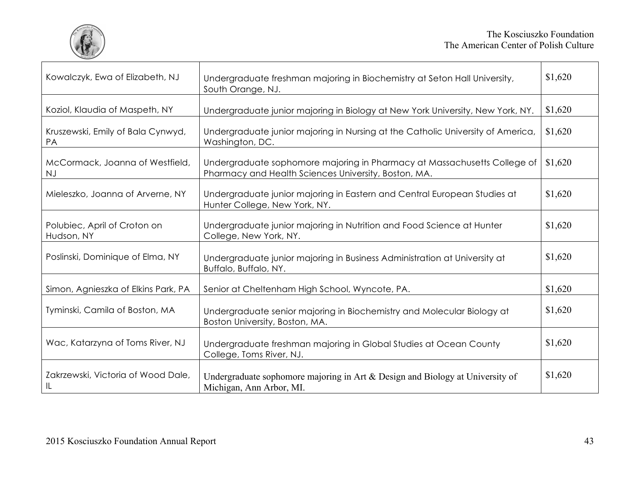

| Kowalczyk, Ewa of Elizabeth, NJ            | Undergraduate freshman majoring in Biochemistry at Seton Hall University,<br>South Orange, NJ.                                   | \$1,620 |
|--------------------------------------------|----------------------------------------------------------------------------------------------------------------------------------|---------|
| Koziol, Klaudia of Maspeth, NY             | Undergraduate junior majoring in Biology at New York University, New York, NY.                                                   | \$1,620 |
| Kruszewski, Emily of Bala Cynwyd,<br>PA    | Undergraduate junior majoring in Nursing at the Catholic University of America,<br>Washington, DC.                               | \$1,620 |
| McCormack, Joanna of Westfield,<br>NJ      | Undergraduate sophomore majoring in Pharmacy at Massachusetts College of<br>Pharmacy and Health Sciences University, Boston, MA. | \$1,620 |
| Mieleszko, Joanna of Arverne, NY           | Undergraduate junior majoring in Eastern and Central European Studies at<br>Hunter College, New York, NY.                        | \$1,620 |
| Polubiec, April of Croton on<br>Hudson, NY | Undergraduate junior majoring in Nutrition and Food Science at Hunter<br>College, New York, NY.                                  | \$1,620 |
| Poslinski, Dominique of Elma, NY           | Undergraduate junior majoring in Business Administration at University at<br>Buffalo, Buffalo, NY.                               | \$1,620 |
| Simon, Agnieszka of Elkins Park, PA        | Senior at Cheltenham High School, Wyncote, PA.                                                                                   | \$1,620 |
| Tyminski, Camila of Boston, MA             | Undergraduate senior majoring in Biochemistry and Molecular Biology at<br>Boston University, Boston, MA.                         | \$1,620 |
| Wac, Katarzyna of Toms River, NJ           | Undergraduate freshman majoring in Global Studies at Ocean County<br>College, Toms River, NJ.                                    | \$1,620 |
| Zakrzewski, Victoria of Wood Dale,<br>IL   | Undergraduate sophomore majoring in Art $&$ Design and Biology at University of<br>Michigan, Ann Arbor, MI.                      | \$1,620 |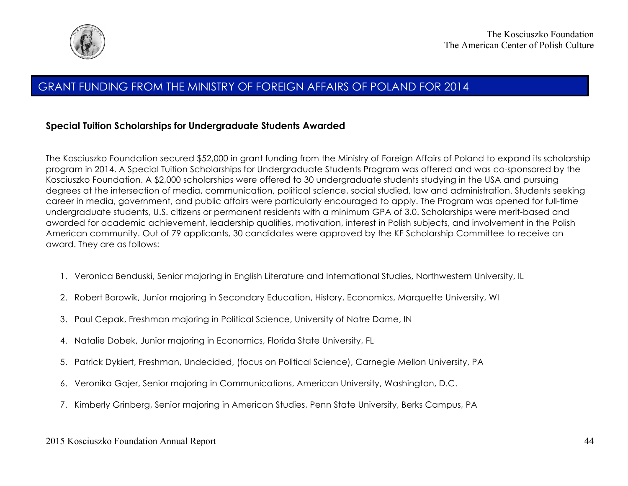

#### GRANT FUNDING FROM THE MINISTRY OF FOREIGN AFFAIRS OF POLAND FOR 2014

#### **Special Tuition Scholarships for Undergraduate Students Awarded**

The Kosciuszko Foundation secured \$52,000 in grant funding from the Ministry of Foreign Affairs of Poland to expand its scholarship program in 2014. A Special Tuition Scholarships for Undergraduate Students Program was offered and was co-sponsored by the Kosciuszko Foundation. A \$2,000 scholarships were offered to 30 undergraduate students studying in the USA and pursuing degrees at the intersection of media, communication, political science, social studied, law and administration. Students seeking career in media, government, and public affairs were particularly encouraged to apply. The Program was opened for full-time undergraduate students, U.S. citizens or permanent residents with a minimum GPA of 3.0. Scholarships were merit-based and awarded for academic achievement, leadership qualities, motivation, interest in Polish subjects, and involvement in the Polish American community. Out of 79 applicants, 30 candidates were approved by the KF Scholarship Committee to receive an award. They are as follows:

- 1. Veronica Benduski, Senior majoring in English Literature and International Studies, Northwestern University, IL
- 2. Robert Borowik, Junior majoring in Secondary Education, History, Economics, Marquette University, WI
- 3. Paul Cepak, Freshman majoring in Political Science, University of Notre Dame, IN
- 4. Natalie Dobek, Junior majoring in Economics, Florida State University, FL
- 5. Patrick Dykiert, Freshman, Undecided, (focus on Political Science), Carnegie Mellon University, PA
- 6. Veronika Gajer, Senior majoring in Communications, American University, Washington, D.C.
- 7. Kimberly Grinberg, Senior majoring in American Studies, Penn State University, Berks Campus, PA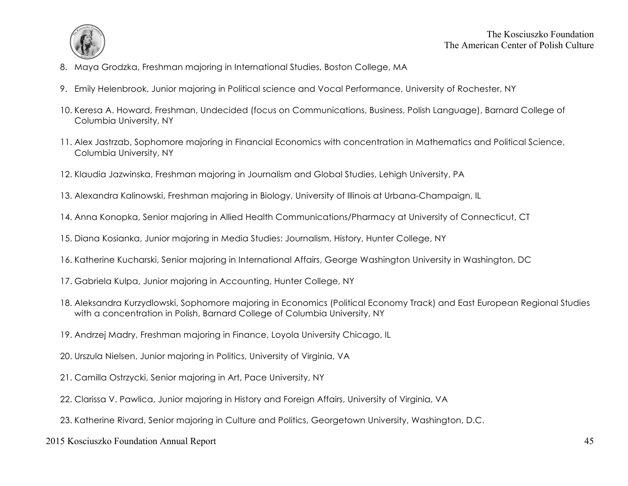

- 8. Maya Grodzka, Freshman majoring in International Studies, Boston College, MA
- 9. Emily Helenbrook, Junior majoring in Political science and Vocal Performance, University of Rochester, NY
- 10. Keresa A. Howard, Freshman, Undecided (focus on Communications, Business, Polish Language), Barnard College of Columbia University, NY
- 11. Alex Jastrzab, Sophomore majoring in Financial Economics with concentration in Mathematics and Political Science, Columbia University, NY
- 12. Klaudia Jazwinska, Freshman majoring in Journalism and Global Studies, Lehigh University, PA
- 13. Alexandra Kalinowski, Freshman majoring in Biology, University of Illinois at Urbana-Champaign, IL
- 14. Anna Konopka, Senior majoring in Allied Health Communications/Pharmacy at University of Connecticut, CT
- 15. Diana Kosianka, Junior majoring in Media Studies: Journalism, History, Hunter College, NY
- 16. Katherine Kucharski, Senior majoring in International Affairs, George Washington University in Washington, DC
- 17. Gabriela Kulpa, Junior majoring in Accounting, Hunter College, NY
- 18. Aleksandra Kurzydlowski, Sophomore majoring in Economics (Political Economy Track) and East European Regional Studies with a concentration in Polish, Barnard College of Columbia University, NY
- 19. Andrzej Madry, Freshman majoring in Finance, Loyola University Chicago, IL
- 20. Urszula Nielsen, Junior majoring in Politics, University of Virginia, VA
- 21. Camilla Ostrzycki, Senior majoring in Art, Pace University, NY
- 22. Clarissa V. Pawlica, Junior majoring in History and Foreign Affairs, University of Virginia, VA
- 23. Katherine Rivard, Senior majoring in Culture and Politics, Georgetown University, Washington, D.C.

#### 2015 Kosciuszko Foundation Annual Report 45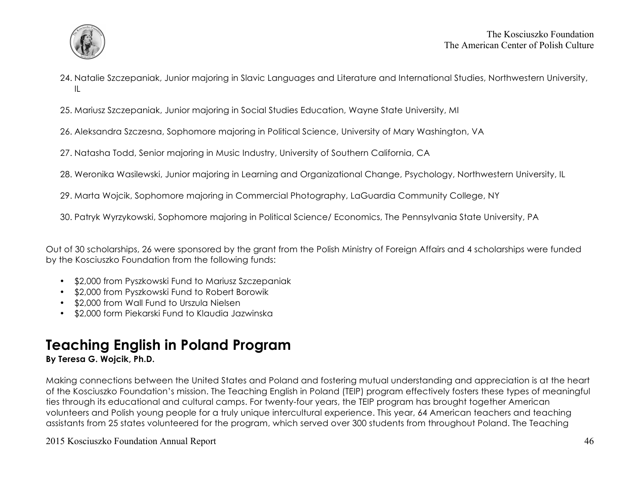

- 24. Natalie Szczepaniak, Junior majoring in Slavic Languages and Literature and International Studies, Northwestern University, IL
- 25. Mariusz Szczepaniak, Junior majoring in Social Studies Education, Wayne State University, MI
- 26. Aleksandra Szczesna, Sophomore majoring in Political Science, University of Mary Washington, VA
- 27. Natasha Todd, Senior majoring in Music Industry, University of Southern California, CA
- 28. Weronika Wasilewski, Junior majoring in Learning and Organizational Change, Psychology, Northwestern University, IL
- 29. Marta Wojcik, Sophomore majoring in Commercial Photography, LaGuardia Community College, NY
- 30. Patryk Wyrzykowski, Sophomore majoring in Political Science/ Economics, The Pennsylvania State University, PA

Out of 30 scholarships, 26 were sponsored by the grant from the Polish Ministry of Foreign Affairs and 4 scholarships were funded by the Kosciuszko Foundation from the following funds:

- \$2,000 from Pyszkowski Fund to Mariusz Szczepaniak
- \$2,000 from Pyszkowski Fund to Robert Borowik
- \$2,000 from Wall Fund to Urszula Nielsen
- \$2,000 form Piekarski Fund to Klaudia Jazwinska

# **Teaching English in Poland Program**

#### **By Teresa G. Wojcik, Ph.D.**

Making connections between the United States and Poland and fostering mutual understanding and appreciation is at the heart of the Kosciuszko Foundation's mission. The Teaching English in Poland (TEIP) program effectively fosters these types of meaningful ties through its educational and cultural camps. For twenty-four years, the TEIP program has brought together American volunteers and Polish young people for a truly unique intercultural experience. This year, 64 American teachers and teaching assistants from 25 states volunteered for the program, which served over 300 students from throughout Poland. The Teaching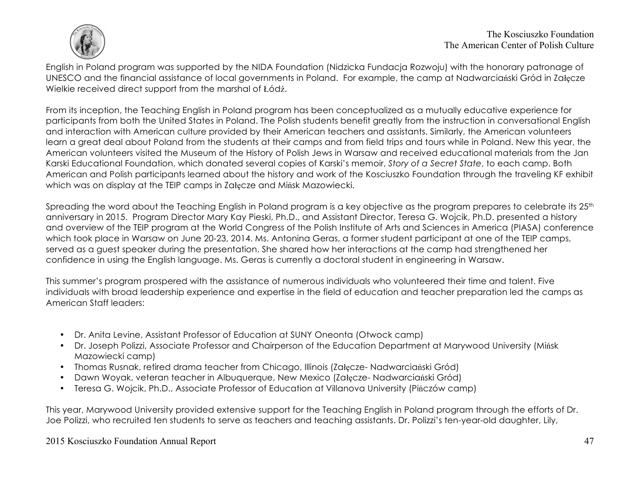

The Kosciuszko Foundation The American Center of Polish Culture

English in Poland program was supported by the NIDA Foundation (Nidzicka Fundacja Rozwoju) with the honorary patronage of UNESCO and the financial assistance of local governments in Poland. For example, the camp at Nadwarciański Gród in Załęcze Wielkie received direct support from the marshal of Łódź.

From its inception, the Teaching English in Poland program has been conceptualized as a mutually educative experience for participants from both the United States in Poland. The Polish students benefit greatly from the instruction in conversational English and interaction with American culture provided by their American teachers and assistants. Similarly, the American volunteers learn a great deal about Poland from the students at their camps and from field trips and tours while in Poland. New this year, the American volunteers visited the Museum of the History of Polish Jews in Warsaw and received educational materials from the Jan Karski Educational Foundation, which donated several copies of Karski's memoir, *Story of a Secret State*, to each camp. Both American and Polish participants learned about the history and work of the Kosciuszko Foundation through the traveling KF exhibit which was on display at the TEIP camps in Załęcze and Mińsk Mazowiecki.

Spreading the word about the Teaching English in Poland program is a key objective as the program prepares to celebrate its 25<sup>th</sup> anniversary in 2015. Program Director Mary Kay Pieski, Ph.D., and Assistant Director, Teresa G. Wojcik, Ph.D. presented a history and overview of the TEIP program at the World Congress of the Polish Institute of Arts and Sciences in America (PIASA) conference which took place in Warsaw on June 20-23, 2014. Ms. Antonina Geras, a former student participant at one of the TEIP camps, served as a guest speaker during the presentation. She shared how her interactions at the camp had strengthened her confidence in using the English language. Ms. Geras is currently a doctoral student in engineering in Warsaw.

This summer's program prospered with the assistance of numerous individuals who volunteered their time and talent. Five individuals with broad leadership experience and expertise in the field of education and teacher preparation led the camps as American Staff leaders:

- Dr. Anita Levine, Assistant Professor of Education at SUNY Oneonta (Otwock camp)
- Dr. Joseph Polizzi, Associate Professor and Chairperson of the Education Department at Marywood University (Mińsk Mazowiecki camp)
- Thomas Rusnak, retired drama teacher from Chicago, Illinois (Załęcze- Nadwarciański Gród)
- Dawn Woyak, veteran teacher in Albuquerque, New Mexico (Załęcze- Nadwarciański Gród)
- Teresa G. Wojcik, Ph.D., Associate Professor of Education at Villanova University (Pińczów camp)

This year, Marywood University provided extensive support for the Teaching English in Poland program through the efforts of Dr. Joe Polizzi, who recruited ten students to serve as teachers and teaching assistants. Dr. Polizzi's ten-year-old daughter, Lily,

#### 2015 Kosciuszko Foundation Annual Report 47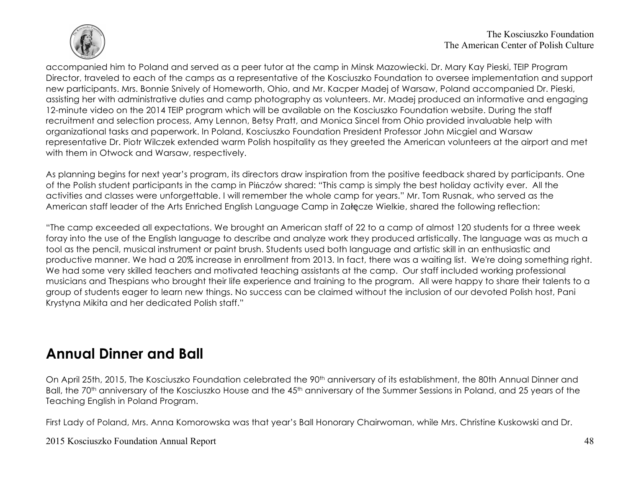

accompanied him to Poland and served as a peer tutor at the camp in Minsk Mazowiecki. Dr. Mary Kay Pieski, TEIP Program Director, traveled to each of the camps as a representative of the Kosciuszko Foundation to oversee implementation and support new participants. Mrs. Bonnie Snively of Homeworth, Ohio, and Mr. Kacper Madej of Warsaw, Poland accompanied Dr. Pieski, assisting her with administrative duties and camp photography as volunteers. Mr. Madej produced an informative and engaging 12-minute video on the 2014 TEIP program which will be available on the Kosciuszko Foundation website. During the staff recruitment and selection process, Amy Lennon, Betsy Pratt, and Monica Sincel from Ohio provided invaluable help with organizational tasks and paperwork. In Poland, Kosciuszko Foundation President Professor John Micgiel and Warsaw representative Dr. Piotr Wilczek extended warm Polish hospitality as they greeted the American volunteers at the airport and met with them in Otwock and Warsaw, respectively.

As planning begins for next year's program, its directors draw inspiration from the positive feedback shared by participants. One of the Polish student participants in the camp in Pińczów shared: "This camp is simply the best holiday activity ever. All the activities and classes were unforgettable. I will remember the whole camp for years." Mr. Tom Rusnak, who served as the American staff leader of the Arts Enriched English Language Camp in Załęcze Wielkie, shared the following reflection:

"The camp exceeded all expectations. We brought an American staff of 22 to a camp of almost 120 students for a three week foray into the use of the English language to describe and analyze work they produced artistically. The language was as much a tool as the pencil, musical instrument or paint brush. Students used both language and artistic skill in an enthusiastic and productive manner. We had a 20% increase in enrollment from 2013. In fact, there was a waiting list. We're doing something right. We had some very skilled teachers and motivated teaching assistants at the camp. Our staff included working professional musicians and Thespians who brought their life experience and training to the program. All were happy to share their talents to a group of students eager to learn new things. No success can be claimed without the inclusion of our devoted Polish host, Pani Krystyna Mikita and her dedicated Polish staff."

# **Annual Dinner and Ball**

On April 25th, 2015, The Kosciuszko Foundation celebrated the 90<sup>th</sup> anniversary of its establishment, the 80th Annual Dinner and Ball, the 70<sup>th</sup> anniversary of the Kosciuszko House and the 45<sup>th</sup> anniversary of the Summer Sessions in Poland, and 25 years of the Teaching English in Poland Program.

First Lady of Poland, Mrs. Anna Komorowska was that year's Ball Honorary Chairwoman, while Mrs. Christine Kuskowski and Dr.

#### 2015 Kosciuszko Foundation Annual Report 48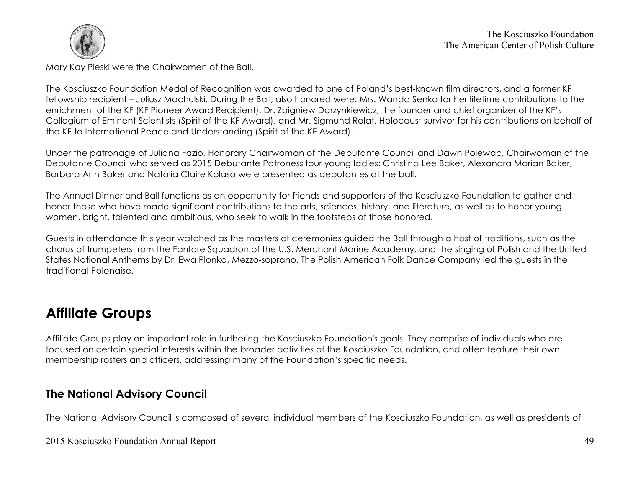

Mary Kay Pieski were the Chairwomen of the Ball.

The Kosciuszko Foundation Medal of Recognition was awarded to one of Poland's best-known film directors, and a former KF fellowship recipient – Juliusz Machulski. During the Ball, also honored were: Mrs. Wanda Senko for her lifetime contributions to the enrichment of the KF (KF Pioneer Award Recipient), Dr. Zbigniew Darzynkiewicz, the founder and chief organizer of the KF's Collegium of Eminent Scientists (Spirit of the KF Award), and Mr. Sigmund Rolat, Holocaust survivor for his contributions on behalf of the KF to International Peace and Understanding (Spirit of the KF Award).

Under the patronage of Juliana Fazio, Honorary Chairwoman of the Debutante Council and Dawn Polewac, Chairwoman of the Debutante Council who served as 2015 Debutante Patroness four young ladies: Christina Lee Baker, Alexandra Marian Baker, Barbara Ann Baker and Natalia Claire Kolasa were presented as debutantes at the ball.

The Annual Dinner and Ball functions as an opportunity for friends and supporters of the Kosciuszko Foundation to gather and honor those who have made significant contributions to the arts, sciences, history, and literature, as well as to honor young women, bright, talented and ambitious, who seek to walk in the footsteps of those honored.

Guests in attendance this year watched as the masters of ceremonies guided the Ball through a host of traditions, such as the chorus of trumpeters from the Fanfare Squadron of the U.S. Merchant Marine Academy, and the singing of Polish and the United States National Anthems by Dr. Ewa Plonka, Mezzo-soprano. The Polish American Folk Dance Company led the guests in the traditional Polonaise.

# **Affiliate Groups**

Affiliate Groups play an important role in furthering the Kosciuszko Foundation's goals. They comprise of individuals who are focused on certain special interests within the broader activities of the Kosciuszko Foundation, and often feature their own membership rosters and officers, addressing many of the Foundation's specific needs.

## **The National Advisory Council**

The National Advisory Council is composed of several individual members of the Kosciuszko Foundation, as well as presidents of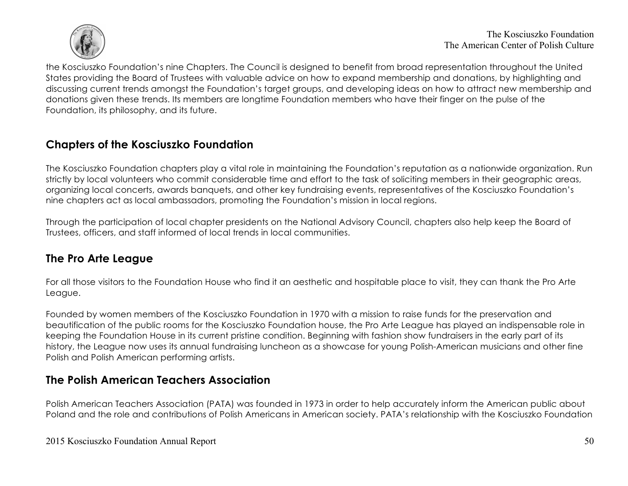

the Kosciuszko Foundation's nine Chapters. The Council is designed to benefit from broad representation throughout the United States providing the Board of Trustees with valuable advice on how to expand membership and donations, by highlighting and discussing current trends amongst the Foundation's target groups, and developing ideas on how to attract new membership and donations given these trends. Its members are longtime Foundation members who have their finger on the pulse of the Foundation, its philosophy, and its future.

#### **Chapters of the Kosciuszko Foundation**

The Kosciuszko Foundation chapters play a vital role in maintaining the Foundation's reputation as a nationwide organization. Run strictly by local volunteers who commit considerable time and effort to the task of soliciting members in their geographic areas, organizing local concerts, awards banquets, and other key fundraising events, representatives of the Kosciuszko Foundation's nine chapters act as local ambassadors, promoting the Foundation's mission in local regions.

Through the participation of local chapter presidents on the National Advisory Council, chapters also help keep the Board of Trustees, officers, and staff informed of local trends in local communities.

## **The Pro Arte League**

For all those visitors to the Foundation House who find it an aesthetic and hospitable place to visit, they can thank the Pro Arte League.

Founded by women members of the Kosciuszko Foundation in 1970 with a mission to raise funds for the preservation and beautification of the public rooms for the Kosciuszko Foundation house, the Pro Arte League has played an indispensable role in keeping the Foundation House in its current pristine condition. Beginning with fashion show fundraisers in the early part of its history, the League now uses its annual fundraising luncheon as a showcase for young Polish-American musicians and other fine Polish and Polish American performing artists.

## **The Polish American Teachers Association**

Polish American Teachers Association (PATA) was founded in 1973 in order to help accurately inform the American public about Poland and the role and contributions of Polish Americans in American society. PATA's relationship with the Kosciuszko Foundation